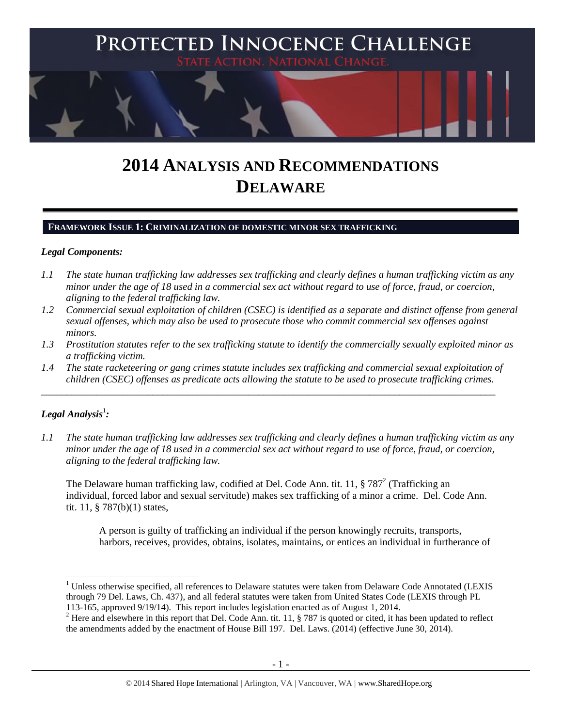

# **2014 ANALYSIS AND RECOMMENDATIONS DELAWARE**

#### **FRAMEWORK ISSUE 1: CRIMINALIZATION OF DOMESTIC MINOR SEX TRAFFICKING**

#### *Legal Components:*

- *1.1 The state human trafficking law addresses sex trafficking and clearly defines a human trafficking victim as any minor under the age of 18 used in a commercial sex act without regard to use of force, fraud, or coercion, aligning to the federal trafficking law.*
- *1.2 Commercial sexual exploitation of children (CSEC) is identified as a separate and distinct offense from general sexual offenses, which may also be used to prosecute those who commit commercial sex offenses against minors.*
- *1.3 Prostitution statutes refer to the sex trafficking statute to identify the commercially sexually exploited minor as a trafficking victim.*
- *1.4 The state racketeering or gang crimes statute includes sex trafficking and commercial sexual exploitation of children (CSEC) offenses as predicate acts allowing the statute to be used to prosecute trafficking crimes.*

\_\_\_\_\_\_\_\_\_\_\_\_\_\_\_\_\_\_\_\_\_\_\_\_\_\_\_\_\_\_\_\_\_\_\_\_\_\_\_\_\_\_\_\_\_\_\_\_\_\_\_\_\_\_\_\_\_\_\_\_\_\_\_\_\_\_\_\_\_\_\_\_\_\_\_\_\_\_\_\_\_\_\_\_\_\_\_\_\_\_

## $\bm{L}$ egal Analysis $^1$ :

l

*1.1 The state human trafficking law addresses sex trafficking and clearly defines a human trafficking victim as any minor under the age of 18 used in a commercial sex act without regard to use of force, fraud, or coercion, aligning to the federal trafficking law.*

The Delaware human trafficking law, codified at Del. Code Ann. tit. 11,  $\S 787^2$  (Trafficking an individual, forced labor and sexual servitude) makes sex trafficking of a minor a crime. Del. Code Ann. tit. 11, § 787(b)(1) states,

<span id="page-0-0"></span>A person is guilty of trafficking an individual if the person knowingly recruits, transports, harbors, receives, provides, obtains, isolates, maintains, or entices an individual in furtherance of

<sup>&</sup>lt;sup>1</sup> Unless otherwise specified, all references to Delaware statutes were taken from Delaware Code Annotated (LEXIS through 79 Del. Laws, Ch. 437), and all federal statutes were taken from United States Code (LEXIS through PL 113-165, approved 9/19/14). This report includes legislation enacted as of August 1, 2014.

<sup>&</sup>lt;sup>2</sup> Here and elsewhere in this report that Del. Code Ann. tit. 11,  $\S$  787 is quoted or cited, it has been updated to reflect the amendments added by the enactment of House Bill 197. Del. Laws. (2014) (effective June 30, 2014).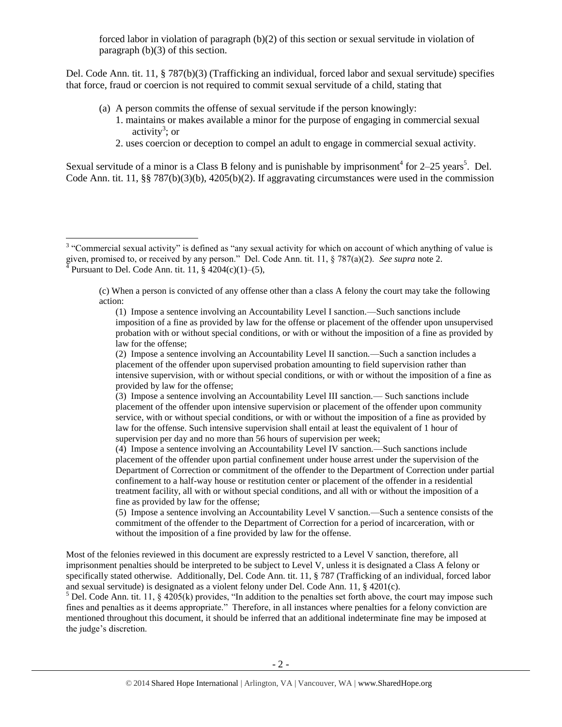forced labor in violation of paragraph (b)(2) of this section or sexual servitude in violation of paragraph (b)(3) of this section.

Del. Code Ann. tit. 11, § 787(b)(3) (Trafficking an individual, forced labor and sexual servitude) specifies that force, fraud or coercion is not required to commit sexual servitude of a child, stating that

- (a) A person commits the offense of sexual servitude if the person knowingly:
	- 1. maintains or makes available a minor for the purpose of engaging in commercial sexual activity<sup>3</sup>; or
	- 2. uses coercion or deception to compel an adult to engage in commercial sexual activity.

Sexual servitude of a minor is a Class B felony and is punishable by imprisonment<sup>4</sup> for  $2-25$  years<sup>5</sup>. Del. Code Ann. tit. 11, §§ 787(b)(3)(b), 4205(b)(2). If aggravating circumstances were used in the commission

<sup>&</sup>lt;sup>3</sup> "Commercial sexual activity" is defined as "any sexual activity for which on account of which anything of value is given, promised to, or received by any person." Del. Code Ann. tit. 11, § 787(a)(2). *See supra* not[e 2.](#page-0-0)<br><sup>4</sup> Pursuant to Del. Code Ann. tit. 11, § 4204(a)(1), (5). Pursuant to Del. Code Ann. tit. 11, § 4204(c)(1)–(5),

<sup>(</sup>c) When a person is convicted of any offense other than a class A felony the court may take the following action:

<sup>(1)</sup> Impose a sentence involving an Accountability Level I sanction.—Such sanctions include imposition of a fine as provided by law for the offense or placement of the offender upon unsupervised probation with or without special conditions, or with or without the imposition of a fine as provided by law for the offense;

<sup>(2)</sup> Impose a sentence involving an Accountability Level II sanction.—Such a sanction includes a placement of the offender upon supervised probation amounting to field supervision rather than intensive supervision, with or without special conditions, or with or without the imposition of a fine as provided by law for the offense;

<sup>(3)</sup> Impose a sentence involving an Accountability Level III sanction.— Such sanctions include placement of the offender upon intensive supervision or placement of the offender upon community service, with or without special conditions, or with or without the imposition of a fine as provided by law for the offense. Such intensive supervision shall entail at least the equivalent of 1 hour of supervision per day and no more than 56 hours of supervision per week;

<sup>(4)</sup> Impose a sentence involving an Accountability Level IV sanction.—Such sanctions include placement of the offender upon partial confinement under house arrest under the supervision of the Department of Correction or commitment of the offender to the Department of Correction under partial confinement to a half-way house or restitution center or placement of the offender in a residential treatment facility, all with or without special conditions, and all with or without the imposition of a fine as provided by law for the offense;

<sup>(5)</sup> Impose a sentence involving an Accountability Level V sanction.—Such a sentence consists of the commitment of the offender to the Department of Correction for a period of incarceration, with or without the imposition of a fine provided by law for the offense.

Most of the felonies reviewed in this document are expressly restricted to a Level V sanction, therefore, all imprisonment penalties should be interpreted to be subject to Level V, unless it is designated a Class A felony or specifically stated otherwise. Additionally, Del. Code Ann. tit. 11, § 787 (Trafficking of an individual, forced labor and sexual servitude) is designated as a violent felony under Del. Code Ann. 11, § 4201(c).

<sup>&</sup>lt;sup>5</sup> Del. Code Ann. tit. 11, § 4205(k) provides, "In addition to the penalties set forth above, the court may impose such fines and penalties as it deems appropriate." Therefore, in all instances where penalties for a felony conviction are mentioned throughout this document, it should be inferred that an additional indeterminate fine may be imposed at the judge's discretion.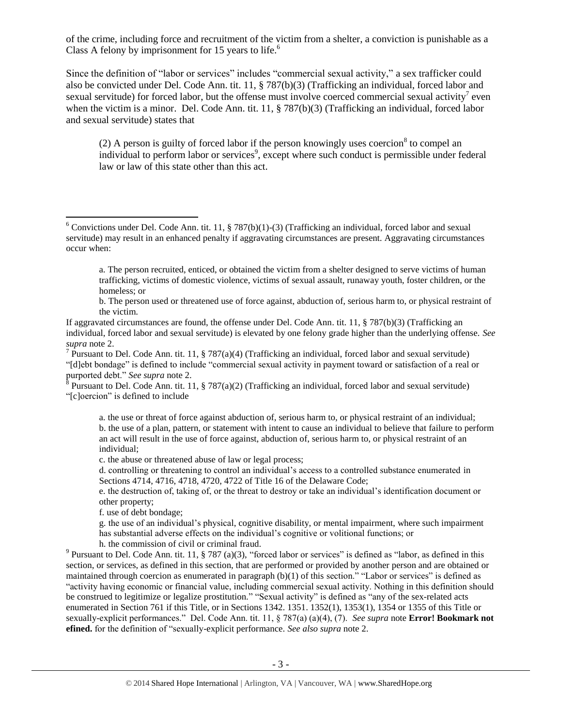of the crime, including force and recruitment of the victim from a shelter, a conviction is punishable as a Class A felony by imprisonment for 15 years to life. $<sup>6</sup>$ </sup>

Since the definition of "labor or services" includes "commercial sexual activity," a sex trafficker could also be convicted under Del. Code Ann. tit. 11, § 787(b)(3) (Trafficking an individual, forced labor and sexual servitude) for forced labor, but the offense must involve coerced commercial sexual activity<sup>7</sup> even when the victim is a minor. Del. Code Ann. tit. 11, § 787(b)(3) (Trafficking an individual, forced labor and sexual servitude) states that

<span id="page-2-0"></span>(2) A person is guilty of forced labor if the person knowingly uses coercion<sup>8</sup> to compel an individual to perform labor or services<sup>9</sup>, except where such conduct is permissible under federal law or law of this state other than this act.

b. The person used or threatened use of force against, abduction of, serious harm to, or physical restraint of the victim.

If aggravated circumstances are found, the offense under Del. Code Ann. tit. 11, § 787(b)(3) (Trafficking an individual, forced labor and sexual servitude) is elevated by one felony grade higher than the underlying offense. *See supra* note [2.](#page-0-0)

<sup>7</sup> Pursuant to Del. Code Ann. tit. 11, § 787(a)(4) (Trafficking an individual, forced labor and sexual servitude) "[d]ebt bondage" is defined to include "commercial sexual activity in payment toward or satisfaction of a real or purported debt." *See supra* note [2.](#page-0-0)

<sup>8</sup> Pursuant to Del. Code Ann. tit. 11, § 787(a)(2) (Trafficking an individual, forced labor and sexual servitude) "[c]oercion" is defined to include

a. the use or threat of force against abduction of, serious harm to, or physical restraint of an individual; b. the use of a plan, pattern, or statement with intent to cause an individual to believe that failure to perform an act will result in the use of force against, abduction of, serious harm to, or physical restraint of an individual;

c. the abuse or threatened abuse of law or legal process;

d. controlling or threatening to control an individual's access to a controlled substance enumerated in Sections 4714, 4716, 4718, 4720, 4722 of Title 16 of the Delaware Code;

e. the destruction of, taking of, or the threat to destroy or take an individual's identification document or other property;

f. use of debt bondage;

 $\overline{\phantom{a}}$ 

g. the use of an individual's physical, cognitive disability, or mental impairment, where such impairment has substantial adverse effects on the individual's cognitive or volitional functions; or h. the commission of civil or criminal fraud.

<sup>9</sup> Pursuant to Del. Code Ann. tit. 11, § 787 (a)(3), "forced labor or services" is defined as "labor, as defined in this section, or services, as defined in this section, that are performed or provided by another person and are obtained or maintained through coercion as enumerated in paragraph (b)(1) of this section." "Labor or services" is defined as "activity having economic or financial value, including commercial sexual activity. Nothing in this definition should be construed to legitimize or legalize prostitution." "Sexual activity" is defined as "any of the sex-related acts enumerated in Section 761 if this Title, or in Sections 1342. 1351. 1352(1), 1353(1), 1354 or 1355 of this Title or sexually-explicit performances." Del. Code Ann. tit. 11, § 787(a) (a)(4), (7). *See supra* note **Error! Bookmark not efined.** for the definition of "sexually-explicit performance. *See also supra* note [2.](#page-0-0)

 $6$  Convictions under Del. Code Ann. tit. 11, § 787(b)(1)-(3) (Trafficking an individual, forced labor and sexual servitude) may result in an enhanced penalty if aggravating circumstances are present. Aggravating circumstances occur when:

a. The person recruited, enticed, or obtained the victim from a shelter designed to serve victims of human trafficking, victims of domestic violence, victims of sexual assault, runaway youth, foster children, or the homeless; or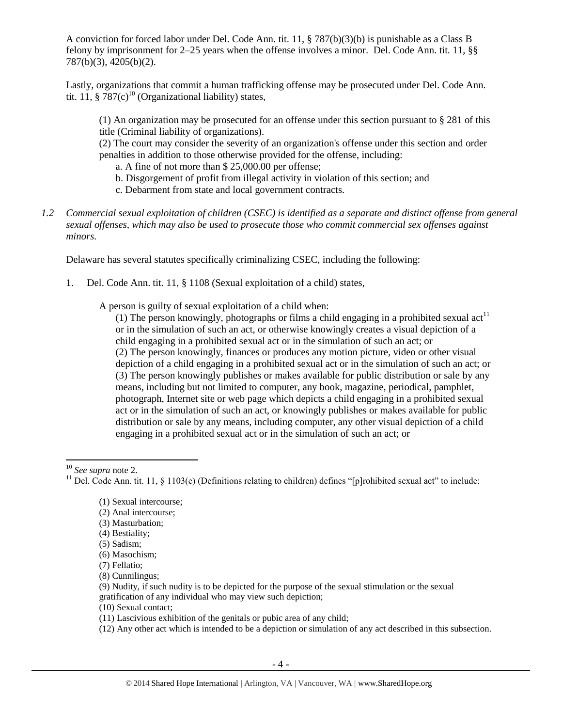A conviction for forced labor under Del. Code Ann. tit. 11, § 787(b)(3)(b) is punishable as a Class B felony by imprisonment for 2–25 years when the offense involves a minor. Del. Code Ann. tit. 11, §§ 787(b)(3), 4205(b)(2).

Lastly, organizations that commit a human trafficking offense may be prosecuted under Del. Code Ann. tit. 11,  $\S 787(c)^{10}$  (Organizational liability) states,

(1) An organization may be prosecuted for an offense under this section pursuant to § 281 of this title (Criminal liability of organizations).

(2) The court may consider the severity of an organization's offense under this section and order penalties in addition to those otherwise provided for the offense, including:

a. A fine of not more than \$ 25,000.00 per offense;

- b. Disgorgement of profit from illegal activity in violation of this section; and
- c. Debarment from state and local government contracts.
- *1.2 Commercial sexual exploitation of children (CSEC) is identified as a separate and distinct offense from general sexual offenses, which may also be used to prosecute those who commit commercial sex offenses against minors.*

Delaware has several statutes specifically criminalizing CSEC, including the following:

1. Del. Code Ann. tit. 11, § 1108 (Sexual exploitation of a child) states,

A person is guilty of sexual exploitation of a child when:

(1) The person knowingly, photographs or films a child engaging in a prohibited sexual act<sup>11</sup> or in the simulation of such an act, or otherwise knowingly creates a visual depiction of a child engaging in a prohibited sexual act or in the simulation of such an act; or (2) The person knowingly, finances or produces any motion picture, video or other visual depiction of a child engaging in a prohibited sexual act or in the simulation of such an act; or (3) The person knowingly publishes or makes available for public distribution or sale by any means, including but not limited to computer, any book, magazine, periodical, pamphlet, photograph, Internet site or web page which depicts a child engaging in a prohibited sexual act or in the simulation of such an act, or knowingly publishes or makes available for public distribution or sale by any means, including computer, any other visual depiction of a child engaging in a prohibited sexual act or in the simulation of such an act; or

 $\overline{\phantom{a}}$ <sup>10</sup> *See supra* note [2.](#page-0-0)

(2) Anal intercourse;

(4) Bestiality;

- (10) Sexual contact;
- (11) Lascivious exhibition of the genitals or pubic area of any child;
- (12) Any other act which is intended to be a depiction or simulation of any act described in this subsection.

<sup>&</sup>lt;sup>11</sup> Del. Code Ann. tit. 11, § 1103(e) (Definitions relating to children) defines "[p]rohibited sexual act" to include:

<sup>(1)</sup> Sexual intercourse;

<sup>(3)</sup> Masturbation;

<sup>(5)</sup> Sadism;

<sup>(6)</sup> Masochism;

<sup>(7)</sup> Fellatio;

<sup>(8)</sup> Cunnilingus;

<sup>(9)</sup> Nudity, if such nudity is to be depicted for the purpose of the sexual stimulation or the sexual gratification of any individual who may view such depiction;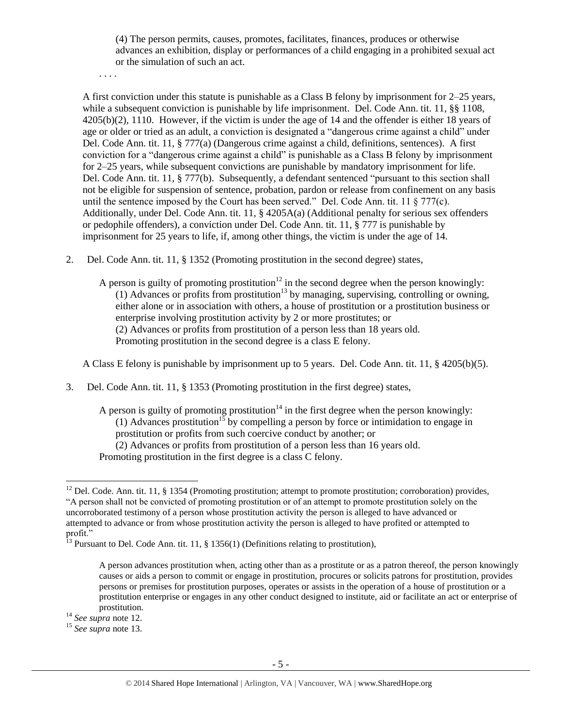(4) The person permits, causes, promotes, facilitates, finances, produces or otherwise advances an exhibition, display or performances of a child engaging in a prohibited sexual act or the simulation of such an act.

. . . .

A first conviction under this statute is punishable as a Class B felony by imprisonment for 2–25 years, while a subsequent conviction is punishable by life imprisonment. Del. Code Ann. tit. 11, §§ 1108, 4205(b)(2), 1110. However, if the victim is under the age of 14 and the offender is either 18 years of age or older or tried as an adult, a conviction is designated a "dangerous crime against a child" under Del. Code Ann. tit. 11, § 777(a) (Dangerous crime against a child, definitions, sentences). A first conviction for a "dangerous crime against a child" is punishable as a Class B felony by imprisonment for 2–25 years, while subsequent convictions are punishable by mandatory imprisonment for life. Del. Code Ann. tit. 11, § 777(b). Subsequently, a defendant sentenced "pursuant to this section shall not be eligible for suspension of sentence, probation, pardon or release from confinement on any basis until the sentence imposed by the Court has been served." Del. Code Ann. tit. 11  $\S$  777(c). Additionally, under Del. Code Ann. tit. 11, § 4205A(a) (Additional penalty for serious sex offenders or pedophile offenders), a conviction under Del. Code Ann. tit. 11, § 777 is punishable by imprisonment for 25 years to life, if, among other things, the victim is under the age of 14.

2. Del. Code Ann. tit. 11, § 1352 (Promoting prostitution in the second degree) states,

<span id="page-4-1"></span><span id="page-4-0"></span>A person is guilty of promoting prostitution<sup>12</sup> in the second degree when the person knowingly: (1) Advances or profits from prostitution<sup>13</sup> by managing, supervising, controlling or owning, either alone or in association with others, a house of prostitution or a prostitution business or enterprise involving prostitution activity by 2 or more prostitutes; or (2) Advances or profits from prostitution of a person less than 18 years old. Promoting prostitution in the second degree is a class E felony.

A Class E felony is punishable by imprisonment up to 5 years. Del. Code Ann. tit. 11, § 4205(b)(5).

3. Del. Code Ann. tit. 11, § 1353 (Promoting prostitution in the first degree) states,

A person is guilty of promoting prostitution<sup>14</sup> in the first degree when the person knowingly: (1) Advances prostitution<sup>15</sup> by compelling a person by force or intimidation to engage in prostitution or profits from such coercive conduct by another; or (2) Advances or profits from prostitution of a person less than 16 years old. Promoting prostitution in the first degree is a class C felony.

<sup>14</sup> *See supra* note [12.](#page-4-0) 

 $\overline{a}$  $12$  Del. Code. Ann. tit. 11, § 1354 (Promoting prostitution; attempt to promote prostitution; corroboration) provides, "A person shall not be convicted of promoting prostitution or of an attempt to promote prostitution solely on the uncorroborated testimony of a person whose prostitution activity the person is alleged to have advanced or attempted to advance or from whose prostitution activity the person is alleged to have profited or attempted to profit."

<sup>&</sup>lt;sup>13</sup> Pursuant to Del. Code Ann. tit. 11, § 1356(1) (Definitions relating to prostitution),

A person advances prostitution when, acting other than as a prostitute or as a patron thereof, the person knowingly causes or aids a person to commit or engage in prostitution, procures or solicits patrons for prostitution, provides persons or premises for prostitution purposes, operates or assists in the operation of a house of prostitution or a prostitution enterprise or engages in any other conduct designed to institute, aid or facilitate an act or enterprise of prostitution.

<sup>15</sup> *See supra* note [13.](#page-4-1)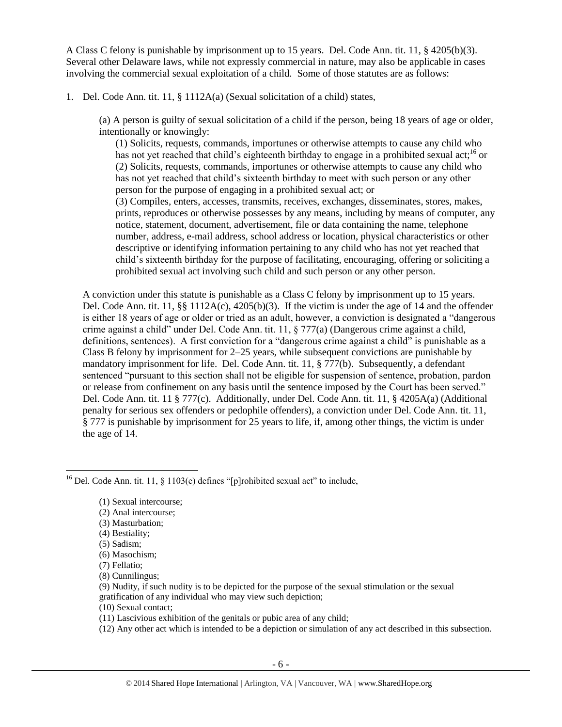A Class C felony is punishable by imprisonment up to 15 years. Del. Code Ann. tit. 11, § 4205(b)(3). Several other Delaware laws, while not expressly commercial in nature, may also be applicable in cases involving the commercial sexual exploitation of a child. Some of those statutes are as follows:

1. Del. Code Ann. tit. 11, § 1112A(a) (Sexual solicitation of a child) states,

(a) A person is guilty of sexual solicitation of a child if the person, being 18 years of age or older, intentionally or knowingly:

(1) Solicits, requests, commands, importunes or otherwise attempts to cause any child who has not yet reached that child's eighteenth birthday to engage in a prohibited sexual act;<sup>16</sup> or (2) Solicits, requests, commands, importunes or otherwise attempts to cause any child who has not yet reached that child's sixteenth birthday to meet with such person or any other person for the purpose of engaging in a prohibited sexual act; or

(3) Compiles, enters, accesses, transmits, receives, exchanges, disseminates, stores, makes, prints, reproduces or otherwise possesses by any means, including by means of computer, any notice, statement, document, advertisement, file or data containing the name, telephone number, address, e-mail address, school address or location, physical characteristics or other descriptive or identifying information pertaining to any child who has not yet reached that child's sixteenth birthday for the purpose of facilitating, encouraging, offering or soliciting a prohibited sexual act involving such child and such person or any other person.

A conviction under this statute is punishable as a Class C felony by imprisonment up to 15 years. Del. Code Ann. tit. 11, §§ 1112A(c),  $4205(b)(3)$ . If the victim is under the age of 14 and the offender is either 18 years of age or older or tried as an adult, however, a conviction is designated a "dangerous crime against a child" under Del. Code Ann. tit. 11, § 777(a) (Dangerous crime against a child, definitions, sentences). A first conviction for a "dangerous crime against a child" is punishable as a Class B felony by imprisonment for 2–25 years, while subsequent convictions are punishable by mandatory imprisonment for life. Del. Code Ann. tit. 11, § 777(b). Subsequently, a defendant sentenced "pursuant to this section shall not be eligible for suspension of sentence, probation, pardon or release from confinement on any basis until the sentence imposed by the Court has been served." Del. Code Ann. tit. 11 § 777(c). Additionally, under Del. Code Ann. tit. 11, § 4205A(a) (Additional penalty for serious sex offenders or pedophile offenders), a conviction under Del. Code Ann. tit. 11, § 777 is punishable by imprisonment for 25 years to life, if, among other things, the victim is under the age of 14.

- (2) Anal intercourse;
- (3) Masturbation;
- (4) Bestiality;
- (5) Sadism;

l

- (6) Masochism;
- (7) Fellatio;
- (8) Cunnilingus;
- (9) Nudity, if such nudity is to be depicted for the purpose of the sexual stimulation or the sexual gratification of any individual who may view such depiction;
- (10) Sexual contact;
- (11) Lascivious exhibition of the genitals or pubic area of any child;
- (12) Any other act which is intended to be a depiction or simulation of any act described in this subsection.

<sup>&</sup>lt;sup>16</sup> Del. Code Ann. tit. 11, § 1103(e) defines "[p]rohibited sexual act" to include,

<sup>(1)</sup> Sexual intercourse;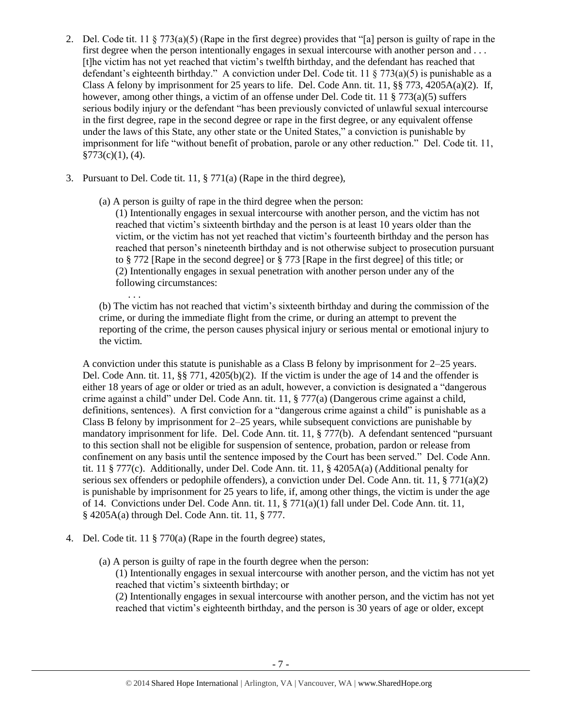- 2. Del. Code tit. 11 § 773(a)(5) (Rape in the first degree) provides that "[a] person is guilty of rape in the first degree when the person intentionally engages in sexual intercourse with another person and . . . [t]he victim has not yet reached that victim's twelfth birthday, and the defendant has reached that defendant's eighteenth birthday." A conviction under Del. Code tit. 11 § 773(a)(5) is punishable as a Class A felony by imprisonment for 25 years to life. Del. Code Ann. tit. 11,  $\S$ § 773, 4205A(a)(2). If, however, among other things, a victim of an offense under Del. Code tit. 11 § 773(a)(5) suffers serious bodily injury or the defendant "has been previously convicted of unlawful sexual intercourse in the first degree, rape in the second degree or rape in the first degree, or any equivalent offense under the laws of this State, any other state or the United States," a conviction is punishable by imprisonment for life "without benefit of probation, parole or any other reduction." Del. Code tit. 11,  $§773(c)(1)$ , (4).
- 3. Pursuant to Del. Code tit. 11, § 771(a) (Rape in the third degree),
	- (a) A person is guilty of rape in the third degree when the person:

(1) Intentionally engages in sexual intercourse with another person, and the victim has not reached that victim's sixteenth birthday and the person is at least 10 years older than the victim, or the victim has not yet reached that victim's fourteenth birthday and the person has reached that person's nineteenth birthday and is not otherwise subject to prosecution pursuant to § 772 [Rape in the second degree] or § 773 [Rape in the first degree] of this title; or (2) Intentionally engages in sexual penetration with another person under any of the following circumstances: . . .

(b) The victim has not reached that victim's sixteenth birthday and during the commission of the crime, or during the immediate flight from the crime, or during an attempt to prevent the reporting of the crime, the person causes physical injury or serious mental or emotional injury to the victim.

A conviction under this statute is punishable as a Class B felony by imprisonment for 2–25 years. Del. Code Ann. tit. 11, §§ 771, 4205(b)(2). If the victim is under the age of 14 and the offender is either 18 years of age or older or tried as an adult, however, a conviction is designated a "dangerous crime against a child" under Del. Code Ann. tit. 11, § 777(a) (Dangerous crime against a child, definitions, sentences). A first conviction for a "dangerous crime against a child" is punishable as a Class B felony by imprisonment for 2–25 years, while subsequent convictions are punishable by mandatory imprisonment for life. Del. Code Ann. tit. 11, § 777(b). A defendant sentenced "pursuant to this section shall not be eligible for suspension of sentence, probation, pardon or release from confinement on any basis until the sentence imposed by the Court has been served." Del. Code Ann. tit. 11 § 777(c). Additionally, under Del. Code Ann. tit. 11, § 4205A(a) (Additional penalty for serious sex offenders or pedophile offenders), a conviction under Del. Code Ann. tit. 11, § 771(a)(2) is punishable by imprisonment for 25 years to life, if, among other things, the victim is under the age of 14. Convictions under Del. Code Ann. tit. 11, § 771(a)(1) fall under Del. Code Ann. tit. 11, § 4205A(a) through Del. Code Ann. tit. 11, § 777.

- 4. Del. Code tit. 11 § 770(a) (Rape in the fourth degree) states,
	- (a) A person is guilty of rape in the fourth degree when the person:

(1) Intentionally engages in sexual intercourse with another person, and the victim has not yet reached that victim's sixteenth birthday; or

(2) Intentionally engages in sexual intercourse with another person, and the victim has not yet reached that victim's eighteenth birthday, and the person is 30 years of age or older, except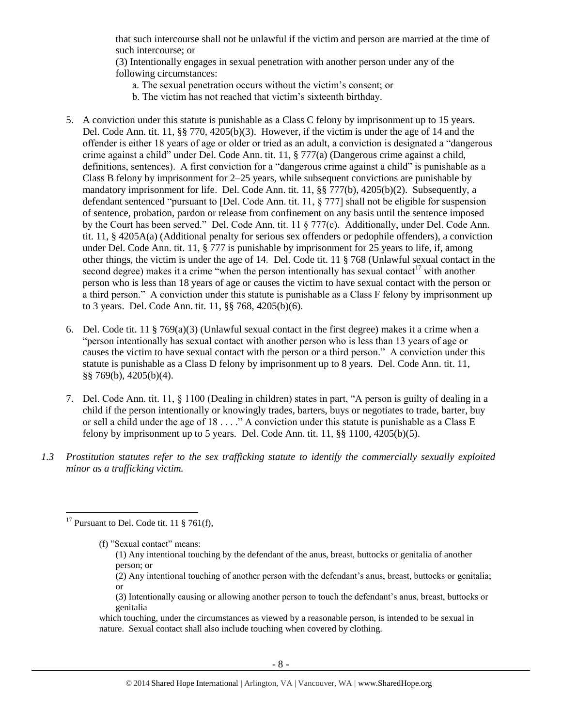that such intercourse shall not be unlawful if the victim and person are married at the time of such intercourse; or

(3) Intentionally engages in sexual penetration with another person under any of the following circumstances:

- a. The sexual penetration occurs without the victim's consent; or
- b. The victim has not reached that victim's sixteenth birthday.
- 5. A conviction under this statute is punishable as a Class C felony by imprisonment up to 15 years. Del. Code Ann. tit. 11, §§ 770, 4205(b)(3). However, if the victim is under the age of 14 and the offender is either 18 years of age or older or tried as an adult, a conviction is designated a "dangerous crime against a child" under Del. Code Ann. tit. 11, § 777(a) (Dangerous crime against a child, definitions, sentences). A first conviction for a "dangerous crime against a child" is punishable as a Class B felony by imprisonment for 2–25 years, while subsequent convictions are punishable by mandatory imprisonment for life. Del. Code Ann. tit. 11, §§ 777(b), 4205(b)(2). Subsequently, a defendant sentenced "pursuant to [Del. Code Ann. tit. 11, § 777] shall not be eligible for suspension of sentence, probation, pardon or release from confinement on any basis until the sentence imposed by the Court has been served." Del. Code Ann. tit. 11 § 777(c). Additionally, under Del. Code Ann. tit. 11, § 4205A(a) (Additional penalty for serious sex offenders or pedophile offenders), a conviction under Del. Code Ann. tit. 11, § 777 is punishable by imprisonment for 25 years to life, if, among other things, the victim is under the age of 14. Del. Code tit. 11 § 768 (Unlawful sexual contact in the second degree) makes it a crime "when the person intentionally has sexual contact<sup>17</sup> with another person who is less than 18 years of age or causes the victim to have sexual contact with the person or a third person." A conviction under this statute is punishable as a Class F felony by imprisonment up to 3 years. Del. Code Ann. tit. 11, §§ 768, 4205(b)(6).
- 6. Del. Code tit. 11 § 769(a)(3) (Unlawful sexual contact in the first degree) makes it a crime when a "person intentionally has sexual contact with another person who is less than 13 years of age or causes the victim to have sexual contact with the person or a third person." A conviction under this statute is punishable as a Class D felony by imprisonment up to 8 years. Del. Code Ann. tit. 11, §§ 769(b), 4205(b)(4).
- 7. Del. Code Ann. tit. 11, § 1100 (Dealing in children) states in part, "A person is guilty of dealing in a child if the person intentionally or knowingly trades, barters, buys or negotiates to trade, barter, buy or sell a child under the age of 18 . . . ." A conviction under this statute is punishable as a Class E felony by imprisonment up to 5 years. Del. Code Ann. tit.  $11$ ,  $\S$  $\S$   $1100$ ,  $4205(b)(5)$ .
- *1.3 Prostitution statutes refer to the sex trafficking statute to identify the commercially sexually exploited minor as a trafficking victim.*

 $\overline{a}$ 

(f) "Sexual contact" means:

(1) Any intentional touching by the defendant of the anus, breast, buttocks or genitalia of another person; or

(2) Any intentional touching of another person with the defendant's anus, breast, buttocks or genitalia; or

(3) Intentionally causing or allowing another person to touch the defendant's anus, breast, buttocks or genitalia

which touching, under the circumstances as viewed by a reasonable person, is intended to be sexual in nature. Sexual contact shall also include touching when covered by clothing.

<sup>&</sup>lt;sup>17</sup> Pursuant to Del. Code tit. 11  $\S$  761(f),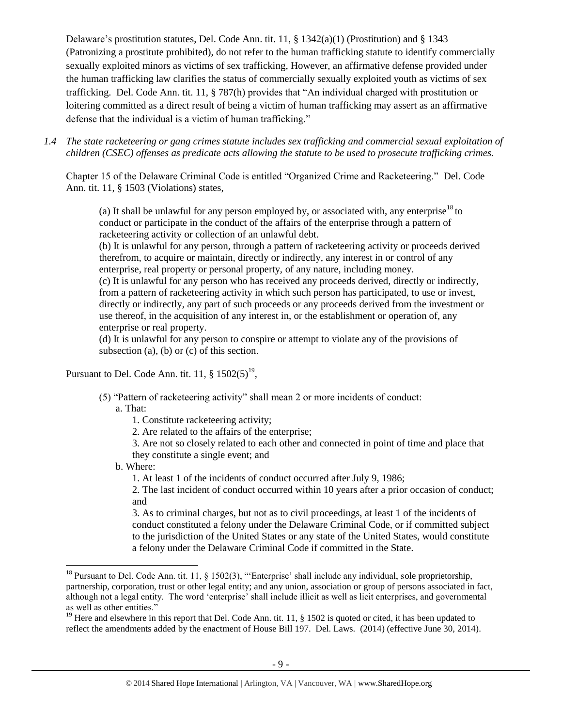Delaware's prostitution statutes, Del. Code Ann. tit. 11, § 1342(a)(1) (Prostitution) and § 1343 (Patronizing a prostitute prohibited), do not refer to the human trafficking statute to identify commercially sexually exploited minors as victims of sex trafficking, However, an affirmative defense provided under the human trafficking law clarifies the status of commercially sexually exploited youth as victims of sex trafficking. Del. Code Ann. tit. 11, § 787(h) provides that "An individual charged with prostitution or loitering committed as a direct result of being a victim of human trafficking may assert as an affirmative defense that the individual is a victim of human trafficking."

*1.4 The state racketeering or gang crimes statute includes sex trafficking and commercial sexual exploitation of children (CSEC) offenses as predicate acts allowing the statute to be used to prosecute trafficking crimes.* 

Chapter 15 of the Delaware Criminal Code is entitled "Organized Crime and Racketeering." Del. Code Ann. tit. 11, § 1503 (Violations) states,

(a) It shall be unlawful for any person employed by, or associated with, any enterprise<sup>18</sup> to conduct or participate in the conduct of the affairs of the enterprise through a pattern of racketeering activity or collection of an unlawful debt.

(b) It is unlawful for any person, through a pattern of racketeering activity or proceeds derived therefrom, to acquire or maintain, directly or indirectly, any interest in or control of any enterprise, real property or personal property, of any nature, including money.

(c) It is unlawful for any person who has received any proceeds derived, directly or indirectly, from a pattern of racketeering activity in which such person has participated, to use or invest, directly or indirectly, any part of such proceeds or any proceeds derived from the investment or use thereof, in the acquisition of any interest in, or the establishment or operation of, any enterprise or real property.

(d) It is unlawful for any person to conspire or attempt to violate any of the provisions of subsection (a), (b) or (c) of this section.

Pursuant to Del. Code Ann. tit. 11,  $\S 1502(5)^{19}$ ,

(5) "Pattern of racketeering activity" shall mean 2 or more incidents of conduct:

a. That:

- 1. Constitute racketeering activity;
- 2. Are related to the affairs of the enterprise;

3. Are not so closely related to each other and connected in point of time and place that they constitute a single event; and

b. Where:

 $\overline{\phantom{a}}$ 

1. At least 1 of the incidents of conduct occurred after July 9, 1986;

2. The last incident of conduct occurred within 10 years after a prior occasion of conduct; and

3. As to criminal charges, but not as to civil proceedings, at least 1 of the incidents of conduct constituted a felony under the Delaware Criminal Code, or if committed subject to the jurisdiction of the United States or any state of the United States, would constitute a felony under the Delaware Criminal Code if committed in the State.

<sup>&</sup>lt;sup>18</sup> Pursuant to Del. Code Ann. tit. 11, § 1502(3), "'Enterprise' shall include any individual, sole proprietorship, partnership, corporation, trust or other legal entity; and any union, association or group of persons associated in fact, although not a legal entity. The word 'enterprise' shall include illicit as well as licit enterprises, and governmental as well as other entities."

<sup>&</sup>lt;sup>19</sup> Here and elsewhere in this report that Del. Code Ann. tit. 11,  $\S$  1502 is quoted or cited, it has been updated to reflect the amendments added by the enactment of House Bill 197. Del. Laws. (2014) (effective June 30, 2014).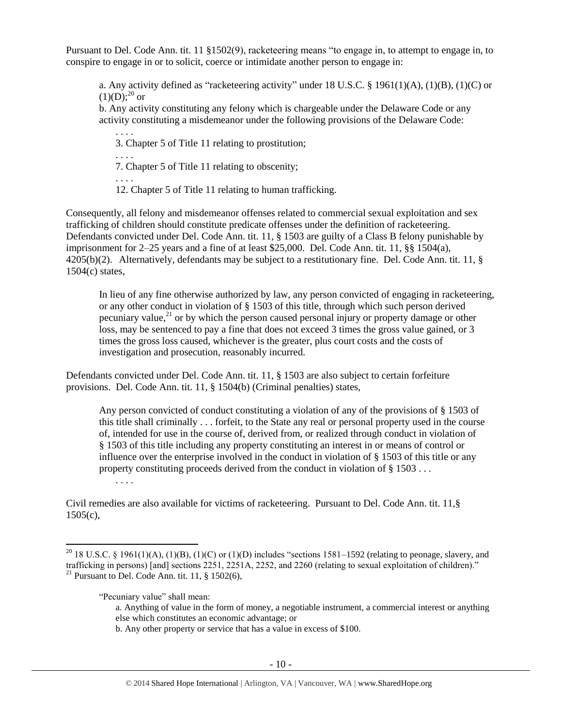Pursuant to Del. Code Ann. tit. 11 §1502(9), racketeering means "to engage in, to attempt to engage in, to conspire to engage in or to solicit, coerce or intimidate another person to engage in:

a. Any activity defined as "racketeering activity" under 18 U.S.C. § 1961(1)(A), (1)(B), (1)(C) or  $(1)(D);^{20}$  or

b. Any activity constituting any felony which is chargeable under the Delaware Code or any activity constituting a misdemeanor under the following provisions of the Delaware Code:

. . . . 3. Chapter 5 of Title 11 relating to prostitution;

. . . .

. . . .

7. Chapter 5 of Title 11 relating to obscenity;

12. Chapter 5 of Title 11 relating to human trafficking.

Consequently, all felony and misdemeanor offenses related to commercial sexual exploitation and sex trafficking of children should constitute predicate offenses under the definition of racketeering. Defendants convicted under Del. Code Ann. tit. 11, § 1503 are guilty of a Class B felony punishable by imprisonment for 2–25 years and a fine of at least \$25,000. Del. Code Ann. tit. 11, §§ 1504(a), 4205(b)(2). Alternatively, defendants may be subject to a restitutionary fine. Del. Code Ann. tit. 11, § 1504(c) states,

In lieu of any fine otherwise authorized by law, any person convicted of engaging in racketeering, or any other conduct in violation of § 1503 of this title, through which such person derived pecuniary value, $^{21}$  or by which the person caused personal injury or property damage or other loss, may be sentenced to pay a fine that does not exceed 3 times the gross value gained, or 3 times the gross loss caused, whichever is the greater, plus court costs and the costs of investigation and prosecution, reasonably incurred.

Defendants convicted under Del. Code Ann. tit. 11, § 1503 are also subject to certain forfeiture provisions. Del. Code Ann. tit. 11, § 1504(b) (Criminal penalties) states,

Any person convicted of conduct constituting a violation of any of the provisions of § 1503 of this title shall criminally . . . forfeit, to the State any real or personal property used in the course of, intended for use in the course of, derived from, or realized through conduct in violation of § 1503 of this title including any property constituting an interest in or means of control or influence over the enterprise involved in the conduct in violation of § 1503 of this title or any property constituting proceeds derived from the conduct in violation of § 1503 . . .

Civil remedies are also available for victims of racketeering. Pursuant to Del. Code Ann. tit. 11,§  $1505(c)$ ,

. . . .

 $\overline{a}$ 

b. Any other property or service that has a value in excess of \$100.

<sup>&</sup>lt;sup>20</sup> 18 U.S.C. § 1961(1)(A), (1)(B), (1)(C) or (1)(D) includes "sections 1581–1592 (relating to peonage, slavery, and trafficking in persons) [and] sections 2251, 2251A, 2252, and 2260 (relating to sexual exploitation of children)." <sup>21</sup> Pursuant to Del. Code Ann. tit. 11,  $§ 1502(6)$ ,

<sup>&</sup>quot;Pecuniary value" shall mean:

a. Anything of value in the form of money, a negotiable instrument, a commercial interest or anything else which constitutes an economic advantage; or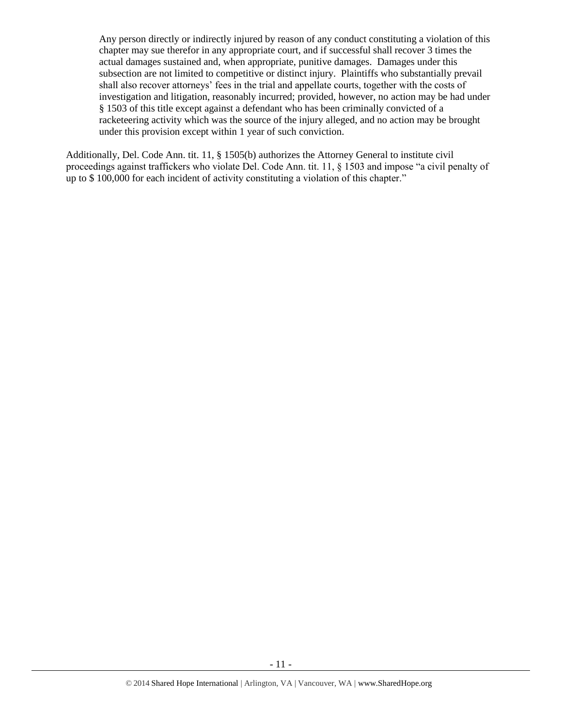Any person directly or indirectly injured by reason of any conduct constituting a violation of this chapter may sue therefor in any appropriate court, and if successful shall recover 3 times the actual damages sustained and, when appropriate, punitive damages. Damages under this subsection are not limited to competitive or distinct injury. Plaintiffs who substantially prevail shall also recover attorneys' fees in the trial and appellate courts, together with the costs of investigation and litigation, reasonably incurred; provided, however, no action may be had under § 1503 of this title except against a defendant who has been criminally convicted of a racketeering activity which was the source of the injury alleged, and no action may be brought under this provision except within 1 year of such conviction.

Additionally, Del. Code Ann. tit. 11, § 1505(b) authorizes the Attorney General to institute civil proceedings against traffickers who violate Del. Code Ann. tit. 11, § 1503 and impose "a civil penalty of up to \$ 100,000 for each incident of activity constituting a violation of this chapter."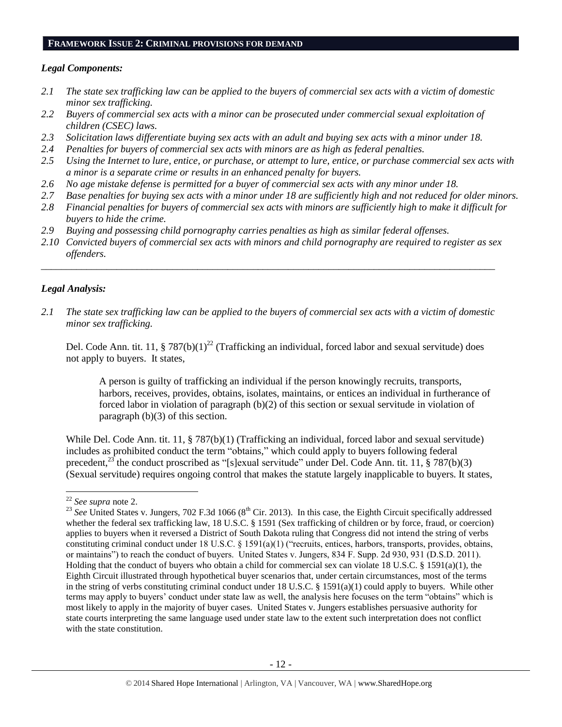#### **FRAMEWORK ISSUE 2: CRIMINAL PROVISIONS FOR DEMAND**

### *Legal Components:*

- *2.1 The state sex trafficking law can be applied to the buyers of commercial sex acts with a victim of domestic minor sex trafficking.*
- *2.2 Buyers of commercial sex acts with a minor can be prosecuted under commercial sexual exploitation of children (CSEC) laws.*
- *2.3 Solicitation laws differentiate buying sex acts with an adult and buying sex acts with a minor under 18.*
- *2.4 Penalties for buyers of commercial sex acts with minors are as high as federal penalties.*
- *2.5 Using the Internet to lure, entice, or purchase, or attempt to lure, entice, or purchase commercial sex acts with a minor is a separate crime or results in an enhanced penalty for buyers.*
- *2.6 No age mistake defense is permitted for a buyer of commercial sex acts with any minor under 18.*
- *2.7 Base penalties for buying sex acts with a minor under 18 are sufficiently high and not reduced for older minors.*
- *2.8 Financial penalties for buyers of commercial sex acts with minors are sufficiently high to make it difficult for buyers to hide the crime.*
- *2.9 Buying and possessing child pornography carries penalties as high as similar federal offenses.*
- *2.10 Convicted buyers of commercial sex acts with minors and child pornography are required to register as sex offenders.*

\_\_\_\_\_\_\_\_\_\_\_\_\_\_\_\_\_\_\_\_\_\_\_\_\_\_\_\_\_\_\_\_\_\_\_\_\_\_\_\_\_\_\_\_\_\_\_\_\_\_\_\_\_\_\_\_\_\_\_\_\_\_\_\_\_\_\_\_\_\_\_\_\_\_\_\_\_\_\_\_\_\_\_\_\_\_\_\_\_\_

## *Legal Analysis:*

*2.1 The state sex trafficking law can be applied to the buyers of commercial sex acts with a victim of domestic minor sex trafficking.*

Del. Code Ann. tit. 11, § 787(b)(1)<sup>22</sup> (Trafficking an individual, forced labor and sexual servitude) does not apply to buyers. It states,

A person is guilty of trafficking an individual if the person knowingly recruits, transports, harbors, receives, provides, obtains, isolates, maintains, or entices an individual in furtherance of forced labor in violation of paragraph (b)(2) of this section or sexual servitude in violation of paragraph (b)(3) of this section.

While Del. Code Ann. tit. 11, § 787(b)(1) (Trafficking an individual, forced labor and sexual servitude) includes as prohibited conduct the term "obtains," which could apply to buyers following federal precedent,<sup>25</sup> the conduct proscribed as "[s]exual servitude" under Del. Code Ann. tit. 11, § 787(b)(3) (Sexual servitude) requires ongoing control that makes the statute largely inapplicable to buyers. It states,

 $\overline{\phantom{a}}$ <sup>22</sup> *See supra* note [2.](#page-0-0)

 $^{23}$  *See* United States v. Jungers, 702 F.3d 1066 (8<sup>th</sup> Cir. 2013). In this case, the Eighth Circuit specifically addressed whether the federal sex trafficking law, 18 U.S.C. § 1591 (Sex trafficking of children or by force, fraud, or coercion) applies to buyers when it reversed a District of South Dakota ruling that Congress did not intend the string of verbs constituting criminal conduct under 18 U.S.C. § 1591(a)(1) ("recruits, entices, harbors, transports, provides, obtains, or maintains") to reach the conduct of buyers. United States v. Jungers, 834 F. Supp. 2d 930, 931 (D.S.D. 2011). Holding that the conduct of buyers who obtain a child for commercial sex can violate 18 U.S.C. § 1591(a)(1), the Eighth Circuit illustrated through hypothetical buyer scenarios that, under certain circumstances, most of the terms in the string of verbs constituting criminal conduct under 18 U.S.C. § 1591(a)(1) could apply to buyers. While other terms may apply to buyers' conduct under state law as well, the analysis here focuses on the term "obtains" which is most likely to apply in the majority of buyer cases. United States v. Jungers establishes persuasive authority for state courts interpreting the same language used under state law to the extent such interpretation does not conflict with the state constitution.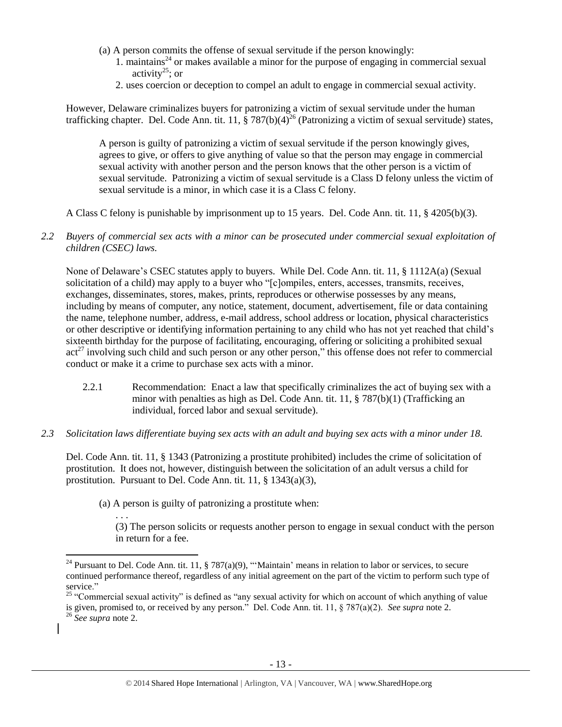- (a) A person commits the offense of sexual servitude if the person knowingly:
	- 1. maintains<sup>24</sup> or makes available a minor for the purpose of engaging in commercial sexual activity<sup>25</sup>; or
	- 2. uses coercion or deception to compel an adult to engage in commercial sexual activity.

However, Delaware criminalizes buyers for patronizing a victim of sexual servitude under the human trafficking chapter. Del. Code Ann. tit. 11, § 787(b)(4)<sup>26</sup> (Patronizing a victim of sexual servitude) states,

A person is guilty of patronizing a victim of sexual servitude if the person knowingly gives, agrees to give, or offers to give anything of value so that the person may engage in commercial sexual activity with another person and the person knows that the other person is a victim of sexual servitude. Patronizing a victim of sexual servitude is a Class D felony unless the victim of sexual servitude is a minor, in which case it is a Class C felony.

A Class C felony is punishable by imprisonment up to 15 years. Del. Code Ann. tit. 11, § 4205(b)(3).

*2.2 Buyers of commercial sex acts with a minor can be prosecuted under commercial sexual exploitation of children (CSEC) laws.*

None of Delaware's CSEC statutes apply to buyers. While Del. Code Ann. tit. 11, § 1112A(a) (Sexual solicitation of a child) may apply to a buyer who "[c]ompiles, enters, accesses, transmits, receives, exchanges, disseminates, stores, makes, prints, reproduces or otherwise possesses by any means, including by means of computer, any notice, statement, document, advertisement, file or data containing the name, telephone number, address, e-mail address, school address or location, physical characteristics or other descriptive or identifying information pertaining to any child who has not yet reached that child's sixteenth birthday for the purpose of facilitating, encouraging, offering or soliciting a prohibited sexual  $act<sup>27</sup>$  involving such child and such person or any other person," this offense does not refer to commercial conduct or make it a crime to purchase sex acts with a minor.

- 2.2.1 Recommendation: Enact a law that specifically criminalizes the act of buying sex with a minor with penalties as high as Del. Code Ann. tit. 11, § 787(b)(1) (Trafficking an individual, forced labor and sexual servitude).
- *2.3 Solicitation laws differentiate buying sex acts with an adult and buying sex acts with a minor under 18.*

Del. Code Ann. tit. 11, § 1343 (Patronizing a prostitute prohibited) includes the crime of solicitation of prostitution. It does not, however, distinguish between the solicitation of an adult versus a child for prostitution. Pursuant to Del. Code Ann. tit. 11, § 1343(a)(3),

(a) A person is guilty of patronizing a prostitute when:

. . .

(3) The person solicits or requests another person to engage in sexual conduct with the person in return for a fee.

 $\overline{\phantom{a}}$ 

<sup>&</sup>lt;sup>24</sup> Pursuant to Del. Code Ann. tit. 11, § 787(a)(9), "'Maintain' means in relation to labor or services, to secure continued performance thereof, regardless of any initial agreement on the part of the victim to perform such type of service."

 $25$  "Commercial sexual activity" is defined as "any sexual activity for which on account of which anything of value is given, promised to, or received by any person." Del. Code Ann. tit. 11, § 787(a)(2). *See supra* note [2.](#page-0-0)

<sup>26</sup> *See supra* note [2.](#page-0-0)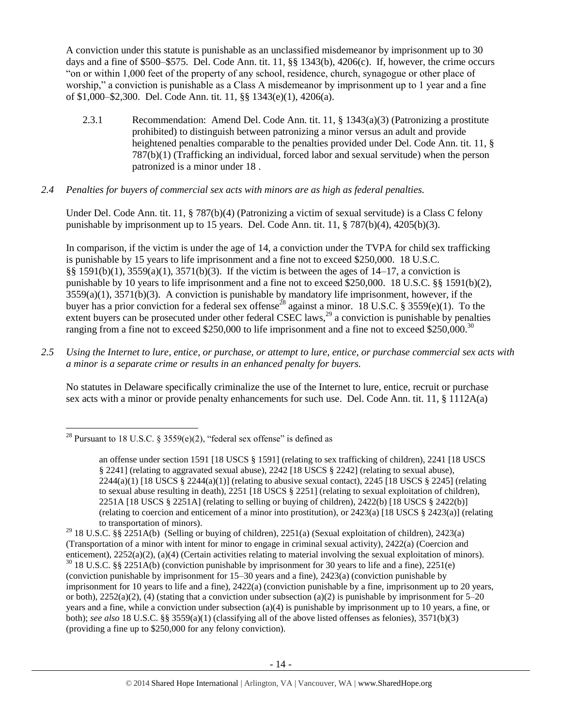A conviction under this statute is punishable as an unclassified misdemeanor by imprisonment up to 30 days and a fine of \$500–\$575. Del. Code Ann. tit. 11, §§ 1343(b), 4206(c). If, however, the crime occurs "on or within 1,000 feet of the property of any school, residence, church, synagogue or other place of worship," a conviction is punishable as a Class A misdemeanor by imprisonment up to 1 year and a fine of \$1,000–\$2,300. Del. Code Ann. tit. 11, §§ 1343(e)(1), 4206(a).

2.3.1 Recommendation: Amend Del. Code Ann. tit. 11, § 1343(a)(3) (Patronizing a prostitute prohibited) to distinguish between patronizing a minor versus an adult and provide heightened penalties comparable to the penalties provided under Del. Code Ann. tit. 11, § 787(b)(1) (Trafficking an individual, forced labor and sexual servitude) when the person patronized is a minor under 18 .

## *2.4 Penalties for buyers of commercial sex acts with minors are as high as federal penalties.*

Under Del. Code Ann. tit. 11, § 787(b)(4) (Patronizing a victim of sexual servitude) is a Class C felony punishable by imprisonment up to 15 years. Del. Code Ann. tit.  $11, \frac{8}{9}$  787(b)(4), 4205(b)(3).

<span id="page-13-0"></span>In comparison, if the victim is under the age of 14, a conviction under the TVPA for child sex trafficking is punishable by 15 years to life imprisonment and a fine not to exceed \$250,000. 18 U.S.C. §§ 1591(b)(1), 3559(a)(1), 3571(b)(3). If the victim is between the ages of 14–17, a conviction is punishable by 10 years to life imprisonment and a fine not to exceed \$250,000. 18 U.S.C. §§ 1591(b)(2), 3559(a)(1), 3571(b)(3). A conviction is punishable by mandatory life imprisonment, however, if the buyer has a prior conviction for a federal sex offense<sup>28</sup> against a minor. 18 U.S.C. § 3559(e)(1). To the extent buyers can be prosecuted under other federal CSEC laws, $^{29}$  a conviction is punishable by penalties ranging from a fine not to exceed \$250,000 to life imprisonment and a fine not to exceed \$250,000.<sup>30</sup>

*2.5 Using the Internet to lure, entice, or purchase, or attempt to lure, entice, or purchase commercial sex acts with a minor is a separate crime or results in an enhanced penalty for buyers.*

No statutes in Delaware specifically criminalize the use of the Internet to lure, entice, recruit or purchase sex acts with a minor or provide penalty enhancements for such use. Del. Code Ann. tit. 11, § 1112A(a)

 $\overline{\phantom{a}}$ <sup>28</sup> Pursuant to 18 U.S.C. § 3559(e)(2), "federal sex offense" is defined as

an offense under section 1591 [18 USCS § 1591] (relating to sex trafficking of children), 2241 [18 USCS § 2241] (relating to aggravated sexual abuse), 2242 [18 USCS § 2242] (relating to sexual abuse),  $2244(a)(1)$  [18 USCS §  $2244(a)(1)$ ] (relating to abusive sexual contact),  $2245$  [18 USCS § 2245] (relating to sexual abuse resulting in death), 2251 [18 USCS § 2251] (relating to sexual exploitation of children), 2251A [18 USCS § 2251A] (relating to selling or buying of children), 2422(b) [18 USCS § 2422(b)] (relating to coercion and enticement of a minor into prostitution), or 2423(a) [18 USCS § 2423(a)] (relating to transportation of minors).

<sup>&</sup>lt;sup>29</sup> 18 U.S.C. §§ 2251A(b) (Selling or buying of children), 2251(a) (Sexual exploitation of children), 2423(a) (Transportation of a minor with intent for minor to engage in criminal sexual activity), 2422(a) (Coercion and enticement), 2252(a)(2), (a)(4) (Certain activities relating to material involving the sexual exploitation of minors). <sup>30</sup> 18 U.S.C. §§ 2251A(b) (conviction punishable by imprisonment for 30 years to life and a fine), 2251(e) (conviction punishable by imprisonment for 15–30 years and a fine), 2423(a) (conviction punishable by imprisonment for 10 years to life and a fine), 2422(a) (conviction punishable by a fine, imprisonment up to 20 years, or both),  $2252(a)(2)$ , (4) (stating that a conviction under subsection (a)(2) is punishable by imprisonment for 5–20 years and a fine, while a conviction under subsection (a)(4) is punishable by imprisonment up to 10 years, a fine, or both); *see also* 18 U.S.C. §§ 3559(a)(1) (classifying all of the above listed offenses as felonies), 3571(b)(3) (providing a fine up to \$250,000 for any felony conviction).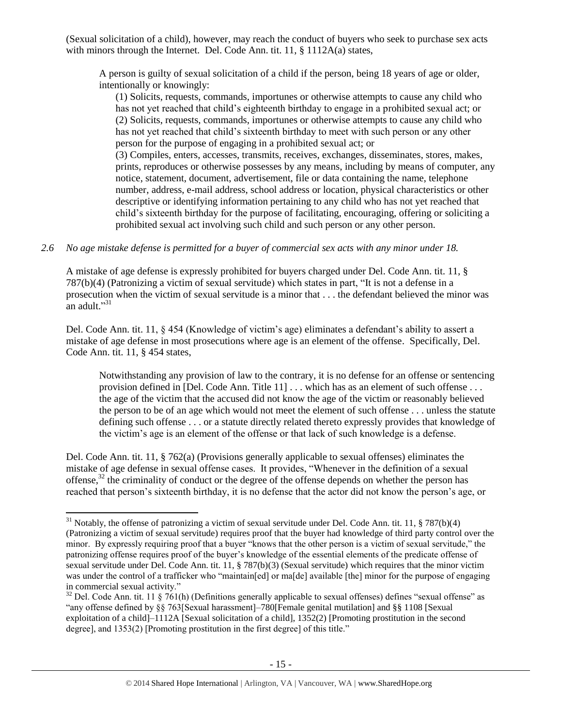(Sexual solicitation of a child), however, may reach the conduct of buyers who seek to purchase sex acts with minors through the Internet. Del. Code Ann. tit. 11, § 1112A(a) states,

A person is guilty of sexual solicitation of a child if the person, being 18 years of age or older, intentionally or knowingly:

(1) Solicits, requests, commands, importunes or otherwise attempts to cause any child who has not yet reached that child's eighteenth birthday to engage in a prohibited sexual act; or (2) Solicits, requests, commands, importunes or otherwise attempts to cause any child who has not yet reached that child's sixteenth birthday to meet with such person or any other person for the purpose of engaging in a prohibited sexual act; or

(3) Compiles, enters, accesses, transmits, receives, exchanges, disseminates, stores, makes, prints, reproduces or otherwise possesses by any means, including by means of computer, any notice, statement, document, advertisement, file or data containing the name, telephone number, address, e-mail address, school address or location, physical characteristics or other descriptive or identifying information pertaining to any child who has not yet reached that child's sixteenth birthday for the purpose of facilitating, encouraging, offering or soliciting a prohibited sexual act involving such child and such person or any other person.

## *2.6 No age mistake defense is permitted for a buyer of commercial sex acts with any minor under 18.*

A mistake of age defense is expressly prohibited for buyers charged under Del. Code Ann. tit. 11, § 787(b)(4) (Patronizing a victim of sexual servitude) which states in part, "It is not a defense in a prosecution when the victim of sexual servitude is a minor that . . . the defendant believed the minor was an adult."<sup>31</sup>

Del. Code Ann. tit. 11, § 454 (Knowledge of victim's age) eliminates a defendant's ability to assert a mistake of age defense in most prosecutions where age is an element of the offense. Specifically, Del. Code Ann. tit. 11, § 454 states,

Notwithstanding any provision of law to the contrary, it is no defense for an offense or sentencing provision defined in [Del. Code Ann. Title 11] . . . which has as an element of such offense . . . the age of the victim that the accused did not know the age of the victim or reasonably believed the person to be of an age which would not meet the element of such offense . . . unless the statute defining such offense . . . or a statute directly related thereto expressly provides that knowledge of the victim's age is an element of the offense or that lack of such knowledge is a defense.

Del. Code Ann. tit. 11, § 762(a) (Provisions generally applicable to sexual offenses) eliminates the mistake of age defense in sexual offense cases. It provides, "Whenever in the definition of a sexual offense,<sup>32</sup> the criminality of conduct or the degree of the offense depends on whether the person has reached that person's sixteenth birthday, it is no defense that the actor did not know the person's age, or

 $\overline{a}$ 

<sup>&</sup>lt;sup>31</sup> Notably, the offense of patronizing a victim of sexual servitude under Del. Code Ann. tit. 11, § 787(b)(4) (Patronizing a victim of sexual servitude) requires proof that the buyer had knowledge of third party control over the minor. By expressly requiring proof that a buyer "knows that the other person is a victim of sexual servitude," the patronizing offense requires proof of the buyer's knowledge of the essential elements of the predicate offense of sexual servitude under Del. Code Ann. tit. 11, § 787(b)(3) (Sexual servitude) which requires that the minor victim was under the control of a trafficker who "maintain[ed] or ma[de] available [the] minor for the purpose of engaging in commercial sexual activity."

 $32$  Del. Code Ann. tit. 11 § 761(h) (Definitions generally applicable to sexual offenses) defines "sexual offense" as "any offense defined by §§ 763[Sexual harassment]–780[Female genital mutilation] and §§ 1108 [Sexual exploitation of a child<sup>-1112</sup>A [Sexual solicitation of a child], 1352(2) [Promoting prostitution in the second degree], and 1353(2) [Promoting prostitution in the first degree] of this title."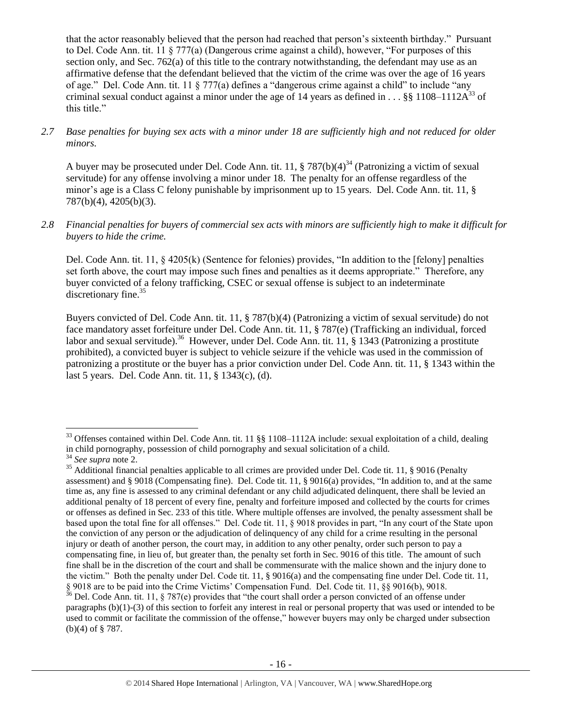that the actor reasonably believed that the person had reached that person's sixteenth birthday." Pursuant to Del. Code Ann. tit. 11 § 777(a) (Dangerous crime against a child), however, "For purposes of this section only, and Sec. 762(a) of this title to the contrary notwithstanding, the defendant may use as an affirmative defense that the defendant believed that the victim of the crime was over the age of 16 years of age." Del. Code Ann. tit. 11 § 777(a) defines a "dangerous crime against a child" to include "any criminal sexual conduct against a minor under the age of 14 years as defined in . . . §§ 1108–1112A<sup>33</sup> of this title."

*2.7 Base penalties for buying sex acts with a minor under 18 are sufficiently high and not reduced for older minors.*

A buyer may be prosecuted under Del. Code Ann. tit. 11,  $\S 787(b)(4)^{34}$  (Patronizing a victim of sexual servitude) for any offense involving a minor under 18. The penalty for an offense regardless of the minor's age is a Class C felony punishable by imprisonment up to 15 years. Del. Code Ann. tit. 11, § 787(b)(4), 4205(b)(3).

*2.8 Financial penalties for buyers of commercial sex acts with minors are sufficiently high to make it difficult for buyers to hide the crime.* 

Del. Code Ann. tit. 11, § 4205(k) (Sentence for felonies) provides, "In addition to the [felony] penalties set forth above, the court may impose such fines and penalties as it deems appropriate." Therefore, any buyer convicted of a felony trafficking, CSEC or sexual offense is subject to an indeterminate discretionary fine.<sup>35</sup>

<span id="page-15-0"></span>Buyers convicted of Del. Code Ann. tit. 11, § 787(b)(4) (Patronizing a victim of sexual servitude) do not face mandatory asset forfeiture under Del. Code Ann. tit. 11, § 787(e) (Trafficking an individual, forced labor and sexual servitude).<sup>36</sup> However, under Del. Code Ann. tit. 11, § 1343 (Patronizing a prostitute prohibited), a convicted buyer is subject to vehicle seizure if the vehicle was used in the commission of patronizing a prostitute or the buyer has a prior conviction under Del. Code Ann. tit. 11, § 1343 within the last 5 years. Del. Code Ann. tit. 11, § 1343(c), (d).

 $\overline{\phantom{a}}$ 

 $33$  Offenses contained within Del. Code Ann. tit. 11 §§ 1108–1112A include: sexual exploitation of a child, dealing in child pornography, possession of child pornography and sexual solicitation of a child.

<sup>34</sup> *See supra* note [2.](#page-0-0)

<sup>&</sup>lt;sup>35</sup> Additional financial penalties applicable to all crimes are provided under Del. Code tit. 11, § 9016 (Penalty assessment) and § 9018 (Compensating fine). Del. Code tit. 11, § 9016(a) provides, "In addition to, and at the same time as, any fine is assessed to any criminal defendant or any child adjudicated delinquent, there shall be levied an additional penalty of 18 percent of every fine, penalty and forfeiture imposed and collected by the courts for crimes or offenses as defined in Sec. 233 of this title. Where multiple offenses are involved, the penalty assessment shall be based upon the total fine for all offenses." Del. Code tit. 11, § 9018 provides in part, "In any court of the State upon the conviction of any person or the adjudication of delinquency of any child for a crime resulting in the personal injury or death of another person, the court may, in addition to any other penalty, order such person to pay a compensating fine, in lieu of, but greater than, the penalty set forth in Sec. 9016 of this title. The amount of such fine shall be in the discretion of the court and shall be commensurate with the malice shown and the injury done to the victim." Both the penalty under Del. Code tit. 11, § 9016(a) and the compensating fine under Del. Code tit. 11, § 9018 are to be paid into the Crime Victims' Compensation Fund. Del. Code tit. 11, §§ 9016(b), 9018.

 $36$  Del. Code Ann. tit. 11, § 787(e) provides that "the court shall order a person convicted of an offense under paragraphs (b)(1)-(3) of this section to forfeit any interest in real or personal property that was used or intended to be used to commit or facilitate the commission of the offense," however buyers may only be charged under subsection (b)(4) of § 787.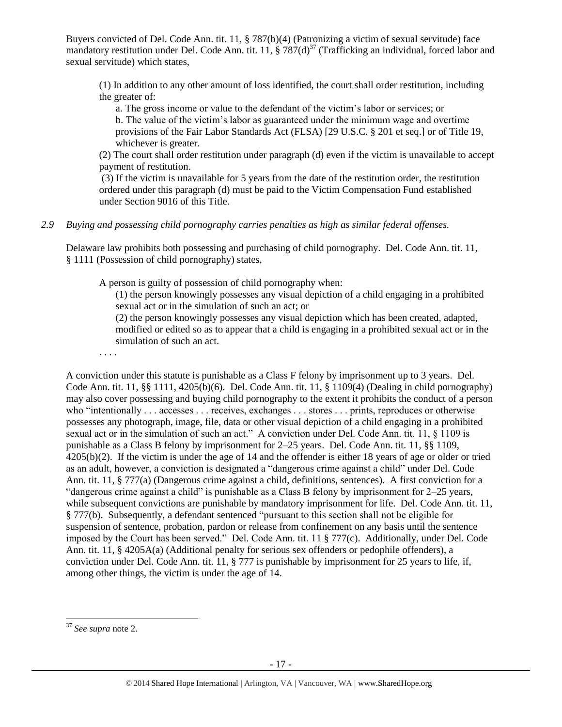Buyers convicted of Del. Code Ann. tit. 11, § 787(b)(4) (Patronizing a victim of sexual servitude) face mandatory restitution under Del. Code Ann. tit. 11, § 787(d)<sup>37</sup> (Trafficking an individual, forced labor and sexual servitude) which states,

(1) In addition to any other amount of loss identified, the court shall order restitution, including the greater of:

a. The gross income or value to the defendant of the victim's labor or services; or b. The value of the victim's labor as guaranteed under the minimum wage and overtime provisions of the Fair Labor Standards Act (FLSA) [29 U.S.C. § 201 et seq.] or of Title 19, whichever is greater.

(2) The court shall order restitution under paragraph (d) even if the victim is unavailable to accept payment of restitution.

(3) If the victim is unavailable for 5 years from the date of the restitution order, the restitution ordered under this paragraph (d) must be paid to the Victim Compensation Fund established under Section 9016 of this Title.

### *2.9 Buying and possessing child pornography carries penalties as high as similar federal offenses.*

Delaware law prohibits both possessing and purchasing of child pornography. Del. Code Ann. tit. 11, § 1111 (Possession of child pornography) states,

A person is guilty of possession of child pornography when:

(1) the person knowingly possesses any visual depiction of a child engaging in a prohibited sexual act or in the simulation of such an act; or

(2) the person knowingly possesses any visual depiction which has been created, adapted, modified or edited so as to appear that a child is engaging in a prohibited sexual act or in the simulation of such an act.

. . . .

A conviction under this statute is punishable as a Class F felony by imprisonment up to 3 years. Del. Code Ann. tit. 11, §§ 1111, 4205(b)(6). Del. Code Ann. tit. 11, § 1109(4) (Dealing in child pornography) may also cover possessing and buying child pornography to the extent it prohibits the conduct of a person who "intentionally . . . accesses . . . receives, exchanges . . . stores . . . prints, reproduces or otherwise possesses any photograph, image, file, data or other visual depiction of a child engaging in a prohibited sexual act or in the simulation of such an act." A conviction under Del. Code Ann. tit. 11, § 1109 is punishable as a Class B felony by imprisonment for 2–25 years. Del. Code Ann. tit. 11, §§ 1109, 4205(b)(2). If the victim is under the age of 14 and the offender is either 18 years of age or older or tried as an adult, however, a conviction is designated a "dangerous crime against a child" under Del. Code Ann. tit. 11, § 777(a) (Dangerous crime against a child, definitions, sentences). A first conviction for a "dangerous crime against a child" is punishable as a Class B felony by imprisonment for 2–25 years, while subsequent convictions are punishable by mandatory imprisonment for life. Del. Code Ann. tit. 11, § 777(b). Subsequently, a defendant sentenced "pursuant to this section shall not be eligible for suspension of sentence, probation, pardon or release from confinement on any basis until the sentence imposed by the Court has been served." Del. Code Ann. tit. 11 § 777(c). Additionally, under Del. Code Ann. tit. 11, § 4205A(a) (Additional penalty for serious sex offenders or pedophile offenders), a conviction under Del. Code Ann. tit. 11, § 777 is punishable by imprisonment for 25 years to life, if, among other things, the victim is under the age of 14.

 $\overline{\phantom{a}}$ <sup>37</sup> *See supra* note [2.](#page-0-0)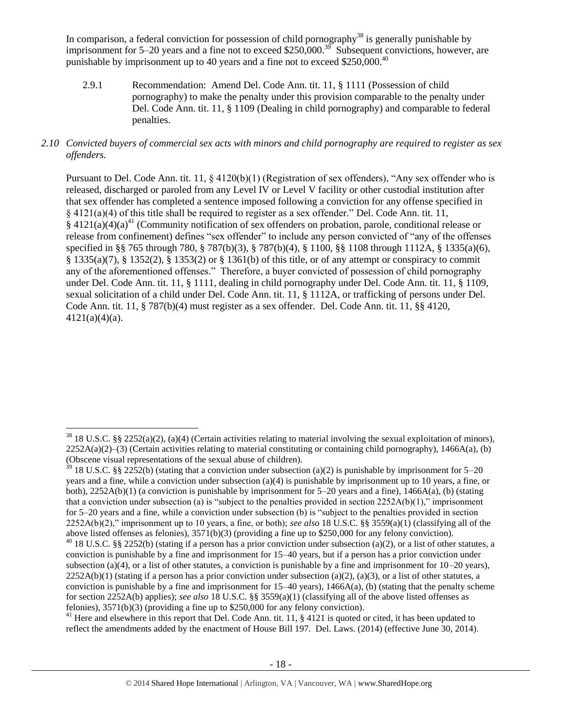In comparison, a federal conviction for possession of child pornography<sup>38</sup> is generally punishable by imprisonment for 5–20 years and a fine not to exceed \$250,000.<sup>39</sup> Subsequent convictions, however, are punishable by imprisonment up to 40 years and a fine not to exceed \$250,000.<sup>40</sup>

2.9.1 Recommendation: Amend Del. Code Ann. tit. 11, § 1111 (Possession of child pornography) to make the penalty under this provision comparable to the penalty under Del. Code Ann. tit. 11, § 1109 (Dealing in child pornography) and comparable to federal penalties.

### *2.10 Convicted buyers of commercial sex acts with minors and child pornography are required to register as sex offenders.*

<span id="page-17-0"></span>Pursuant to Del. Code Ann. tit. 11, § 4120(b)(1) (Registration of sex offenders), "Any sex offender who is released, discharged or paroled from any Level IV or Level V facility or other custodial institution after that sex offender has completed a sentence imposed following a conviction for any offense specified in § 4121(a)(4) of this title shall be required to register as a sex offender." Del. Code Ann. tit. 11,  $§$  4121(a)(4)(a)<sup>41</sup> (Community notification of sex offenders on probation, parole, conditional release or release from confinement) defines "sex offender" to include any person convicted of "any of the offenses specified in §§ 765 through 780, § 787(b)(3), § 787(b)(4), § 1100, §§ 1108 through 1112A, § 1335(a)(6), § 1335(a)(7), § 1352(2), § 1353(2) or § 1361(b) of this title, or of any attempt or conspiracy to commit any of the aforementioned offenses." Therefore, a buyer convicted of possession of child pornography under Del. Code Ann. tit. 11, § 1111, dealing in child pornography under Del. Code Ann. tit. 11, § 1109, sexual solicitation of a child under Del. Code Ann. tit. 11, § 1112A, or trafficking of persons under Del. Code Ann. tit. 11, § 787(b)(4) must register as a sex offender. Del. Code Ann. tit. 11, §§ 4120, 4121(a)(4)(a).

 $\overline{\phantom{a}}$ 

<sup>41</sup> Here and elsewhere in this report that Del. Code Ann. tit. 11, § 4121 is quoted or cited, it has been updated to reflect the amendments added by the enactment of House Bill 197. Del. Laws. (2014) (effective June 30, 2014).

 $38\,18$  U.S.C. §§ 2252(a)(2), (a)(4) (Certain activities relating to material involving the sexual exploitation of minors),  $2252A(a)(2)$ –(3) (Certain activities relating to material constituting or containing child pornography), 1466A(a), (b) (Obscene visual representations of the sexual abuse of children).

 $39$  18 U.S.C. §§ 2252(b) (stating that a conviction under subsection (a)(2) is punishable by imprisonment for 5–20 years and a fine, while a conviction under subsection (a)(4) is punishable by imprisonment up to 10 years, a fine, or both),  $2252A(b)(1)$  (a conviction is punishable by imprisonment for 5–20 years and a fine),  $1466A(a)$ , (b) (stating that a conviction under subsection (a) is "subject to the penalties provided in section  $2252A(b)(1)$ ," imprisonment for 5–20 years and a fine, while a conviction under subsection (b) is "subject to the penalties provided in section 2252A(b)(2)," imprisonment up to 10 years, a fine, or both); *see also* 18 U.S.C. §§ 3559(a)(1) (classifying all of the above listed offenses as felonies), 3571(b)(3) (providing a fine up to \$250,000 for any felony conviction).

<sup>&</sup>lt;sup>40</sup> 18 U.S.C. §§ 2252(b) (stating if a person has a prior conviction under subsection (a)(2), or a list of other statutes, a conviction is punishable by a fine and imprisonment for 15–40 years, but if a person has a prior conviction under subsection (a)(4), or a list of other statutes, a conviction is punishable by a fine and imprisonment for  $10-20$  years),  $2252A(b)(1)$  (stating if a person has a prior conviction under subsection (a)(2), (a)(3), or a list of other statutes, a conviction is punishable by a fine and imprisonment for  $15-40$  years),  $1466A(a)$ , (b) (stating that the penalty scheme for section 2252A(b) applies); *see also* 18 U.S.C. §§ 3559(a)(1) (classifying all of the above listed offenses as felonies), 3571(b)(3) (providing a fine up to \$250,000 for any felony conviction).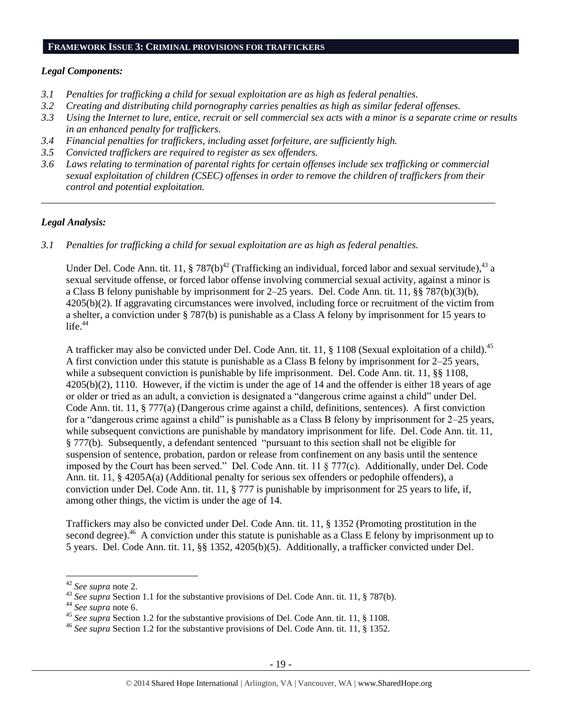#### **FRAMEWORK ISSUE 3: CRIMINAL PROVISIONS FOR TRAFFICKERS**

#### *Legal Components:*

- *3.1 Penalties for trafficking a child for sexual exploitation are as high as federal penalties.*
- *3.2 Creating and distributing child pornography carries penalties as high as similar federal offenses.*
- *3.3 Using the Internet to lure, entice, recruit or sell commercial sex acts with a minor is a separate crime or results in an enhanced penalty for traffickers.*
- *3.4 Financial penalties for traffickers, including asset forfeiture, are sufficiently high.*
- *3.5 Convicted traffickers are required to register as sex offenders.*
- *3.6 Laws relating to termination of parental rights for certain offenses include sex trafficking or commercial sexual exploitation of children (CSEC) offenses in order to remove the children of traffickers from their control and potential exploitation.*

*\_\_\_\_\_\_\_\_\_\_\_\_\_\_\_\_\_\_\_\_\_\_\_\_\_\_\_\_\_\_\_\_\_\_\_\_\_\_\_\_\_\_\_\_\_\_\_\_\_\_\_\_\_\_\_\_\_\_\_\_\_\_\_\_\_\_\_\_\_\_\_\_\_\_\_\_\_\_\_\_\_\_\_\_\_\_\_\_\_\_*

#### *Legal Analysis:*

*3.1 Penalties for trafficking a child for sexual exploitation are as high as federal penalties.* 

Under Del. Code Ann. tit. 11,  $\S 787(b)^{42}$  (Trafficking an individual, forced labor and sexual servitude),  $43$  a sexual servitude offense, or forced labor offense involving commercial sexual activity, against a minor is a Class B felony punishable by imprisonment for 2–25 years. Del. Code Ann. tit. 11, §§ 787(b)(3)(b), 4205(b)(2). If aggravating circumstances were involved, including force or recruitment of the victim from a shelter, a conviction under § 787(b) is punishable as a Class A felony by imprisonment for 15 years to life. $44$ 

A trafficker may also be convicted under Del. Code Ann. tit. 11, § 1108 (Sexual exploitation of a child).<sup>45</sup> A first conviction under this statute is punishable as a Class B felony by imprisonment for 2–25 years, while a subsequent conviction is punishable by life imprisonment. Del. Code Ann. tit. 11, §§ 1108, 4205(b)(2), 1110. However, if the victim is under the age of 14 and the offender is either 18 years of age or older or tried as an adult, a conviction is designated a "dangerous crime against a child" under Del. Code Ann. tit. 11, § 777(a) (Dangerous crime against a child, definitions, sentences). A first conviction for a "dangerous crime against a child" is punishable as a Class B felony by imprisonment for 2–25 years, while subsequent convictions are punishable by mandatory imprisonment for life. Del. Code Ann. tit. 11, § 777(b). Subsequently, a defendant sentenced "pursuant to this section shall not be eligible for suspension of sentence, probation, pardon or release from confinement on any basis until the sentence imposed by the Court has been served." Del. Code Ann. tit. 11 § 777(c). Additionally, under Del. Code Ann. tit. 11, § 4205A(a) (Additional penalty for serious sex offenders or pedophile offenders), a conviction under Del. Code Ann. tit. 11, § 777 is punishable by imprisonment for 25 years to life, if, among other things, the victim is under the age of 14.

Traffickers may also be convicted under Del. Code Ann. tit. 11, § 1352 (Promoting prostitution in the second degree).<sup>46</sup> A conviction under this statute is punishable as a Class E felony by imprisonment up to 5 years. Del. Code Ann. tit. 11, §§ 1352, 4205(b)(5). Additionally, a trafficker convicted under Del.

l

<sup>42</sup> *See supra* note [2.](#page-0-0)

<sup>&</sup>lt;sup>43</sup> See supra Section 1.1 for the substantive provisions of Del. Code Ann. tit. 11, § 787(b).

<sup>44</sup> *See supra* note [6.](#page-2-0)

<sup>45</sup> *See supra* Section 1.2 for the substantive provisions of Del. Code Ann. tit. 11, § 1108.

<sup>46</sup> *See supra* Section 1.2 for the substantive provisions of Del. Code Ann. tit. 11, § 1352.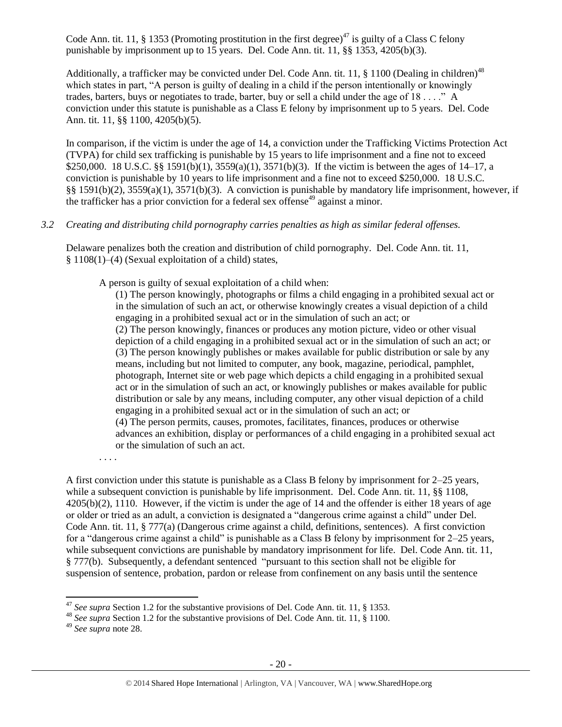Code Ann. tit. 11, § 1353 (Promoting prostitution in the first degree)<sup>47</sup> is guilty of a Class C felony punishable by imprisonment up to 15 years. Del. Code Ann. tit. 11, §§ 1353, 4205(b)(3).

Additionally, a trafficker may be convicted under Del. Code Ann. tit. 11,  $\S$  1100 (Dealing in children)<sup>48</sup> which states in part, "A person is guilty of dealing in a child if the person intentionally or knowingly trades, barters, buys or negotiates to trade, barter, buy or sell a child under the age of 18 . . . ." A conviction under this statute is punishable as a Class E felony by imprisonment up to 5 years. Del. Code Ann. tit. 11, §§ 1100, 4205(b)(5).

In comparison, if the victim is under the age of 14, a conviction under the Trafficking Victims Protection Act (TVPA) for child sex trafficking is punishable by 15 years to life imprisonment and a fine not to exceed \$250,000. 18 U.S.C. §§ 1591(b)(1), 3559(a)(1), 3571(b)(3). If the victim is between the ages of 14–17, a conviction is punishable by 10 years to life imprisonment and a fine not to exceed \$250,000. 18 U.S.C. §§ 1591(b)(2), 3559(a)(1), 3571(b)(3). A conviction is punishable by mandatory life imprisonment, however, if the trafficker has a prior conviction for a federal sex offense<sup>49</sup> against a minor.

## *3.2 Creating and distributing child pornography carries penalties as high as similar federal offenses.*

Delaware penalizes both the creation and distribution of child pornography. Del. Code Ann. tit. 11, § 1108(1)–(4) (Sexual exploitation of a child) states,

A person is guilty of sexual exploitation of a child when:

(1) The person knowingly, photographs or films a child engaging in a prohibited sexual act or in the simulation of such an act, or otherwise knowingly creates a visual depiction of a child engaging in a prohibited sexual act or in the simulation of such an act; or (2) The person knowingly, finances or produces any motion picture, video or other visual depiction of a child engaging in a prohibited sexual act or in the simulation of such an act; or (3) The person knowingly publishes or makes available for public distribution or sale by any means, including but not limited to computer, any book, magazine, periodical, pamphlet, photograph, Internet site or web page which depicts a child engaging in a prohibited sexual act or in the simulation of such an act, or knowingly publishes or makes available for public distribution or sale by any means, including computer, any other visual depiction of a child engaging in a prohibited sexual act or in the simulation of such an act; or (4) The person permits, causes, promotes, facilitates, finances, produces or otherwise advances an exhibition, display or performances of a child engaging in a prohibited sexual act or the simulation of such an act.

. . . .

A first conviction under this statute is punishable as a Class B felony by imprisonment for 2–25 years, while a subsequent conviction is punishable by life imprisonment. Del. Code Ann. tit. 11, §§ 1108, 4205(b)(2), 1110. However, if the victim is under the age of 14 and the offender is either 18 years of age or older or tried as an adult, a conviction is designated a "dangerous crime against a child" under Del. Code Ann. tit. 11, § 777(a) (Dangerous crime against a child, definitions, sentences). A first conviction for a "dangerous crime against a child" is punishable as a Class B felony by imprisonment for 2–25 years, while subsequent convictions are punishable by mandatory imprisonment for life. Del. Code Ann. tit. 11, § 777(b). Subsequently, a defendant sentenced "pursuant to this section shall not be eligible for suspension of sentence, probation, pardon or release from confinement on any basis until the sentence

l

<sup>47</sup> *See supra* Section 1.2 for the substantive provisions of Del. Code Ann. tit. 11, § 1353.

<sup>48</sup> *See supra* Section 1.2 for the substantive provisions of Del. Code Ann. tit. 11, § 1100.

<sup>49</sup> *See supra* note [28.](#page-13-0)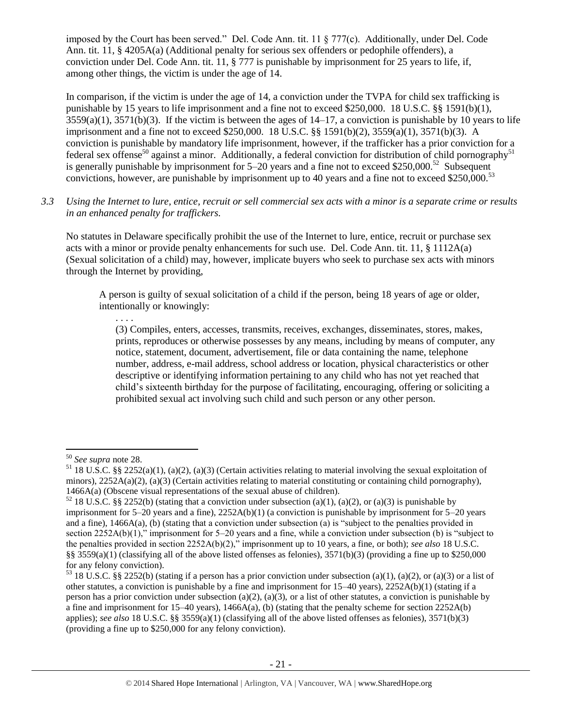imposed by the Court has been served." Del. Code Ann. tit. 11 § 777(c). Additionally, under Del. Code Ann. tit. 11, § 4205A(a) (Additional penalty for serious sex offenders or pedophile offenders), a conviction under Del. Code Ann. tit. 11, § 777 is punishable by imprisonment for 25 years to life, if, among other things, the victim is under the age of 14.

In comparison, if the victim is under the age of 14, a conviction under the TVPA for child sex trafficking is punishable by 15 years to life imprisonment and a fine not to exceed \$250,000. 18 U.S.C. §§ 1591(b)(1),  $3559(a)(1)$ ,  $3571(b)(3)$ . If the victim is between the ages of  $14-17$ , a conviction is punishable by 10 years to life imprisonment and a fine not to exceed \$250,000. 18 U.S.C. §§ 1591(b)(2), 3559(a)(1), 3571(b)(3). A conviction is punishable by mandatory life imprisonment, however, if the trafficker has a prior conviction for a federal sex offense<sup>50</sup> against a minor. Additionally, a federal conviction for distribution of child pornography<sup>51</sup> is generally punishable by imprisonment for  $5-20$  years and a fine not to exceed \$250,000.<sup>52</sup> Subsequent convictions, however, are punishable by imprisonment up to 40 years and a fine not to exceed \$250,000.<sup>53</sup>

*3.3 Using the Internet to lure, entice, recruit or sell commercial sex acts with a minor is a separate crime or results in an enhanced penalty for traffickers.*

No statutes in Delaware specifically prohibit the use of the Internet to lure, entice, recruit or purchase sex acts with a minor or provide penalty enhancements for such use. Del. Code Ann. tit. 11, § 1112A(a) (Sexual solicitation of a child) may, however, implicate buyers who seek to purchase sex acts with minors through the Internet by providing,

A person is guilty of sexual solicitation of a child if the person, being 18 years of age or older, intentionally or knowingly:

. . . .

(3) Compiles, enters, accesses, transmits, receives, exchanges, disseminates, stores, makes, prints, reproduces or otherwise possesses by any means, including by means of computer, any notice, statement, document, advertisement, file or data containing the name, telephone number, address, e-mail address, school address or location, physical characteristics or other descriptive or identifying information pertaining to any child who has not yet reached that child's sixteenth birthday for the purpose of facilitating, encouraging, offering or soliciting a prohibited sexual act involving such child and such person or any other person.

 $\overline{a}$ 

<sup>50</sup> *See supra* note [28.](#page-13-0)

 $51$  18 U.S.C. §§ 2252(a)(1), (a)(2), (a)(3) (Certain activities relating to material involving the sexual exploitation of minors),  $2252A(a)(2)$ , (a)(3) (Certain activities relating to material constituting or containing child pornography), 1466A(a) (Obscene visual representations of the sexual abuse of children).

<sup>&</sup>lt;sup>52</sup> 18 U.S.C. §§ 2252(b) (stating that a conviction under subsection (a)(1), (a)(2), or (a)(3) is punishable by imprisonment for 5–20 years and a fine), 2252A(b)(1) (a conviction is punishable by imprisonment for 5–20 years and a fine), 1466A(a), (b) (stating that a conviction under subsection (a) is "subject to the penalties provided in section 2252A(b)(1)," imprisonment for 5–20 years and a fine, while a conviction under subsection (b) is "subject to the penalties provided in section 2252A(b)(2)," imprisonment up to 10 years, a fine, or both); *see also* 18 U.S.C. §§ 3559(a)(1) (classifying all of the above listed offenses as felonies),  $3571(b)(3)$  (providing a fine up to \$250,000 for any felony conviction).

<sup>&</sup>lt;sup>53</sup> 18 U.S.C. §§ 2252(b) (stating if a person has a prior conviction under subsection (a)(1), (a)(2), or (a)(3) or a list of other statutes, a conviction is punishable by a fine and imprisonment for 15–40 years), 2252A(b)(1) (stating if a person has a prior conviction under subsection (a)(2), (a)(3), or a list of other statutes, a conviction is punishable by a fine and imprisonment for  $15-40$  years),  $1466A(a)$ , (b) (stating that the penalty scheme for section  $2252A(b)$ applies); *see also* 18 U.S.C. §§ 3559(a)(1) (classifying all of the above listed offenses as felonies), 3571(b)(3) (providing a fine up to \$250,000 for any felony conviction).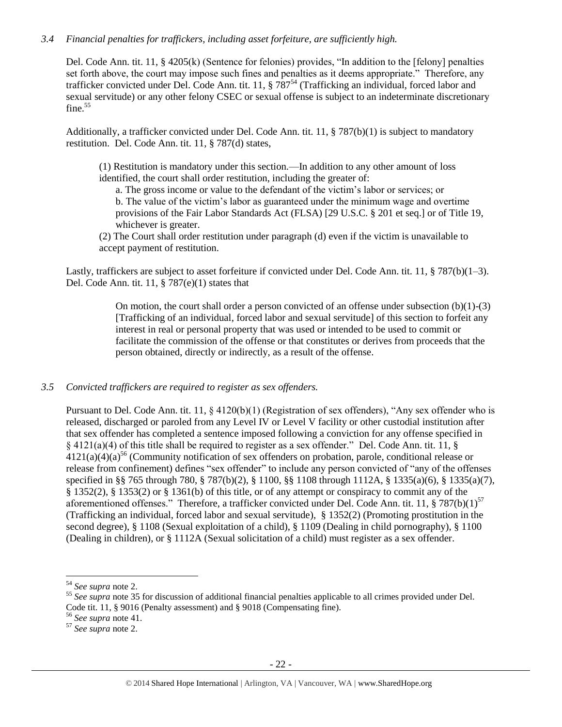## *3.4 Financial penalties for traffickers, including asset forfeiture, are sufficiently high.*

Del. Code Ann. tit. 11, § 4205(k) (Sentence for felonies) provides, "In addition to the [felony] penalties set forth above, the court may impose such fines and penalties as it deems appropriate." Therefore, any trafficker convicted under Del. Code Ann. tit. 11, § 787<sup>54</sup> (Trafficking an individual, forced labor and sexual servitude) or any other felony CSEC or sexual offense is subject to an indeterminate discretionary fine. $55$ 

Additionally, a trafficker convicted under Del. Code Ann. tit. 11, § 787(b)(1) is subject to mandatory restitution. Del. Code Ann. tit. 11, § 787(d) states,

(1) Restitution is mandatory under this section.—In addition to any other amount of loss identified, the court shall order restitution, including the greater of:

a. The gross income or value to the defendant of the victim's labor or services; or b. The value of the victim's labor as guaranteed under the minimum wage and overtime provisions of the Fair Labor Standards Act (FLSA) [29 U.S.C. § 201 et seq.] or of Title 19, whichever is greater.

(2) The Court shall order restitution under paragraph (d) even if the victim is unavailable to accept payment of restitution.

Lastly, traffickers are subject to asset forfeiture if convicted under Del. Code Ann. tit. 11, § 787(b)(1–3). Del. Code Ann. tit. 11, § 787(e)(1) states that

> On motion, the court shall order a person convicted of an offense under subsection  $(b)(1)-(3)$ [Trafficking of an individual, forced labor and sexual servitude] of this section to forfeit any interest in real or personal property that was used or intended to be used to commit or facilitate the commission of the offense or that constitutes or derives from proceeds that the person obtained, directly or indirectly, as a result of the offense.

#### *3.5 Convicted traffickers are required to register as sex offenders.*

Pursuant to Del. Code Ann. tit. 11,  $\S$  4120(b)(1) (Registration of sex offenders), "Any sex offender who is released, discharged or paroled from any Level IV or Level V facility or other custodial institution after that sex offender has completed a sentence imposed following a conviction for any offense specified in § 4121(a)(4) of this title shall be required to register as a sex offender." Del. Code Ann. tit. 11, §  $4121(a)(4)(a)^{56}$  (Community notification of sex offenders on probation, parole, conditional release or release from confinement) defines "sex offender" to include any person convicted of "any of the offenses specified in §§ 765 through 780, § 787(b)(2), § 1100, §§ 1108 through 1112A, § 1335(a)(6), § 1335(a)(7), § 1352(2), § 1353(2) or § 1361(b) of this title, or of any attempt or conspiracy to commit any of the aforementioned offenses." Therefore, a trafficker convicted under Del. Code Ann. tit. 11,  $\S 787(b)(1)^{57}$ (Trafficking an individual, forced labor and sexual servitude), § 1352(2) (Promoting prostitution in the second degree), § 1108 (Sexual exploitation of a child), § 1109 (Dealing in child pornography), § 1100 (Dealing in children), or § 1112A (Sexual solicitation of a child) must register as a sex offender.

l

<sup>54</sup> *See supra* note [2.](#page-0-0)

<sup>&</sup>lt;sup>55</sup> See supra note [35](#page-15-0) for discussion of additional financial penalties applicable to all crimes provided under Del. Code tit. 11, § 9016 (Penalty assessment) and § 9018 (Compensating fine).

<sup>56</sup> *See supra* note [41.](#page-17-0)

<sup>57</sup> *See supra* note [2.](#page-0-0)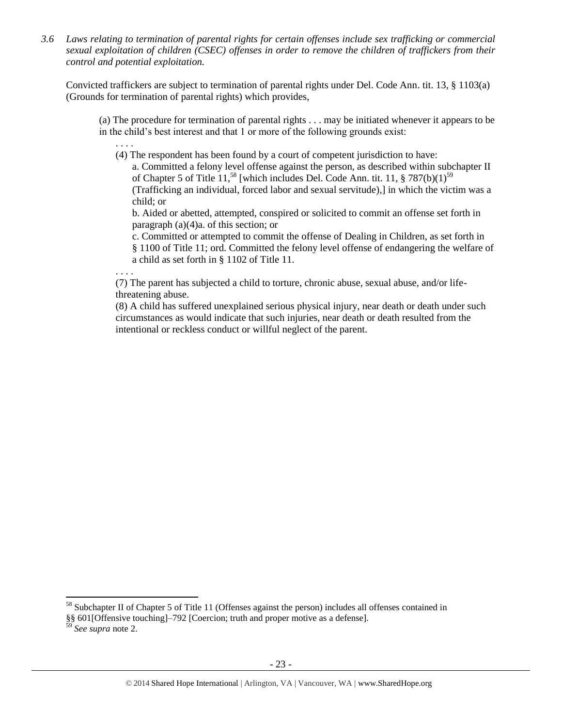*3.6 Laws relating to termination of parental rights for certain offenses include sex trafficking or commercial sexual exploitation of children (CSEC) offenses in order to remove the children of traffickers from their control and potential exploitation.* 

Convicted traffickers are subject to termination of parental rights under Del. Code Ann. tit. 13, § 1103(a) (Grounds for termination of parental rights) which provides,

(a) The procedure for termination of parental rights . . . may be initiated whenever it appears to be in the child's best interest and that 1 or more of the following grounds exist:

(4) The respondent has been found by a court of competent jurisdiction to have:

a. Committed a felony level offense against the person, as described within subchapter II of Chapter 5 of Title 11,<sup>58</sup> [which includes Del. Code Ann. tit. 11,  $\S 787(b)(1)^{59}$ (Trafficking an individual, forced labor and sexual servitude),] in which the victim was a child; or

b. Aided or abetted, attempted, conspired or solicited to commit an offense set forth in paragraph (a)(4)a. of this section; or

c. Committed or attempted to commit the offense of Dealing in Children, as set forth in § 1100 of Title 11; ord. Committed the felony level offense of endangering the welfare of a child as set forth in § 1102 of Title 11.

. . . .

. . . .

(7) The parent has subjected a child to torture, chronic abuse, sexual abuse, and/or lifethreatening abuse.

(8) A child has suffered unexplained serious physical injury, near death or death under such circumstances as would indicate that such injuries, near death or death resulted from the intentional or reckless conduct or willful neglect of the parent.

l

<sup>58</sup> Subchapter II of Chapter 5 of Title 11 (Offenses against the person) includes all offenses contained in

<sup>§§ 601[</sup>Offensive touching]–792 [Coercion; truth and proper motive as a defense].

<sup>59</sup> *See supra* note [2.](#page-0-0)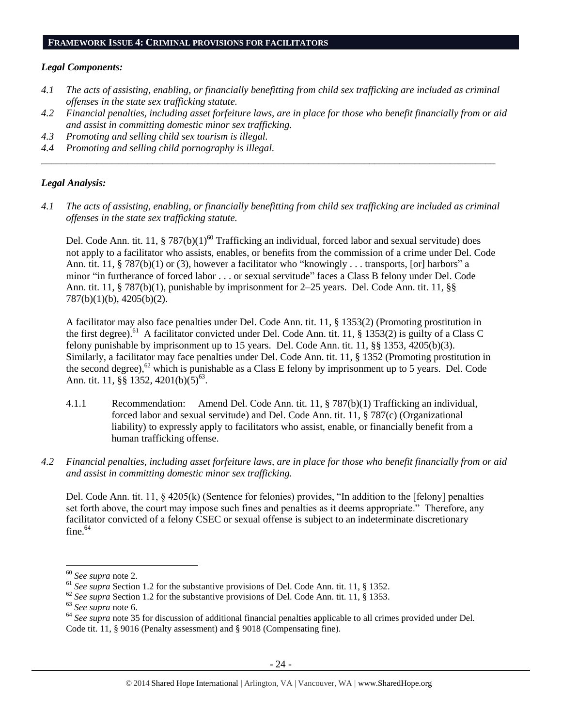#### **FRAMEWORK ISSUE 4: CRIMINAL PROVISIONS FOR FACILITATORS**

#### *Legal Components:*

- *4.1 The acts of assisting, enabling, or financially benefitting from child sex trafficking are included as criminal offenses in the state sex trafficking statute.*
- *4.2 Financial penalties, including asset forfeiture laws, are in place for those who benefit financially from or aid and assist in committing domestic minor sex trafficking.*
- *4.3 Promoting and selling child sex tourism is illegal.*
- *4.4 Promoting and selling child pornography is illegal.*

#### *Legal Analysis:*

*4.1 The acts of assisting, enabling, or financially benefitting from child sex trafficking are included as criminal offenses in the state sex trafficking statute.*

*\_\_\_\_\_\_\_\_\_\_\_\_\_\_\_\_\_\_\_\_\_\_\_\_\_\_\_\_\_\_\_\_\_\_\_\_\_\_\_\_\_\_\_\_\_\_\_\_\_\_\_\_\_\_\_\_\_\_\_\_\_\_\_\_\_\_\_\_\_\_\_\_\_\_\_\_\_\_\_\_\_\_\_\_\_\_\_\_\_\_*

Del. Code Ann. tit. 11, § 787(b) $(1)^{60}$  Trafficking an individual, forced labor and sexual servitude) does not apply to a facilitator who assists, enables, or benefits from the commission of a crime under Del. Code Ann. tit. 11, § 787(b)(1) or (3), however a facilitator who "knowingly . . . transports, [or] harbors" a minor "in furtherance of forced labor . . . or sexual servitude" faces a Class B felony under Del. Code Ann. tit. 11, § 787(b)(1), punishable by imprisonment for 2–25 years. Del. Code Ann. tit. 11, §§ 787(b)(1)(b), 4205(b)(2).

A facilitator may also face penalties under Del. Code Ann. tit. 11, § 1353(2) (Promoting prostitution in the first degree).<sup>61</sup> A facilitator convicted under Del. Code Ann. tit. 11, § 1353(2) is guilty of a Class C felony punishable by imprisonment up to 15 years. Del. Code Ann. tit. 11, §§ 1353, 4205(b)(3). Similarly, a facilitator may face penalties under Del. Code Ann. tit. 11, § 1352 (Promoting prostitution in the second degree),<sup>62</sup> which is punishable as a Class E felony by imprisonment up to 5 years. Del. Code Ann. tit. 11, §§ 1352, 4201(b)(5)<sup>63</sup>.

- 4.1.1 Recommendation: Amend Del. Code Ann. tit. 11, § 787(b)(1) Trafficking an individual, forced labor and sexual servitude) and Del. Code Ann. tit. 11, § 787(c) (Organizational liability) to expressly apply to facilitators who assist, enable, or financially benefit from a human trafficking offense.
- *4.2 Financial penalties, including asset forfeiture laws, are in place for those who benefit financially from or aid and assist in committing domestic minor sex trafficking.*

Del. Code Ann. tit. 11,  $\S$  4205(k) (Sentence for felonies) provides, "In addition to the [felony] penalties set forth above, the court may impose such fines and penalties as it deems appropriate." Therefore, any facilitator convicted of a felony CSEC or sexual offense is subject to an indeterminate discretionary fine. $64$ 

 $\overline{\phantom{a}}$ 

<sup>60</sup> *See supra* note [2.](#page-0-0)

<sup>61</sup> *See supra* Section 1.2 for the substantive provisions of Del. Code Ann. tit. 11, § 1352.

<sup>&</sup>lt;sup>62</sup> See supra Section 1.2 for the substantive provisions of Del. Code Ann. tit. 11, § 1353.

<sup>63</sup> *See supra* note [6.](#page-2-0)

<sup>64</sup> *See supra* note [35](#page-15-0) for discussion of additional financial penalties applicable to all crimes provided under Del. Code tit. 11, § 9016 (Penalty assessment) and § 9018 (Compensating fine).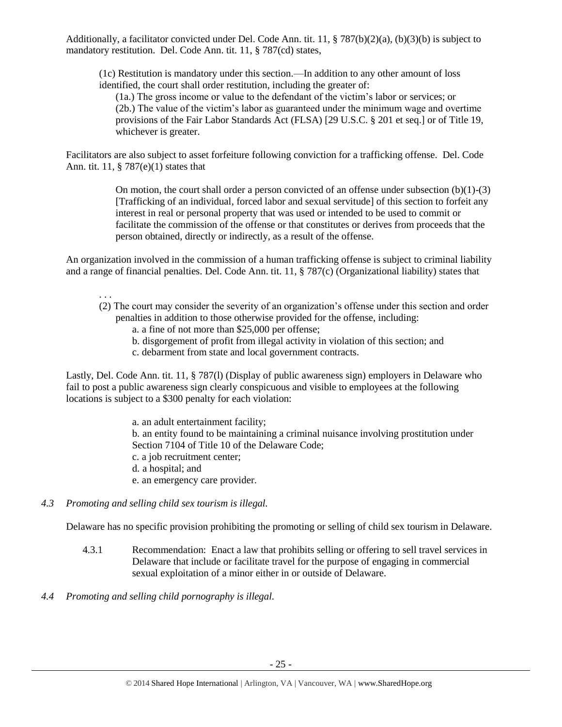Additionally, a facilitator convicted under Del. Code Ann. tit. 11, § 787(b)(2)(a), (b)(3)(b) is subject to mandatory restitution. Del. Code Ann. tit. 11, § 787(cd) states,

(1c) Restitution is mandatory under this section.—In addition to any other amount of loss identified, the court shall order restitution, including the greater of:

(1a.) The gross income or value to the defendant of the victim's labor or services; or (2b.) The value of the victim's labor as guaranteed under the minimum wage and overtime provisions of the Fair Labor Standards Act (FLSA) [29 U.S.C. § 201 et seq.] or of Title 19, whichever is greater.

Facilitators are also subject to asset forfeiture following conviction for a trafficking offense. Del. Code Ann. tit. 11, § 787(e)(1) states that

> On motion, the court shall order a person convicted of an offense under subsection  $(b)(1)-(3)$ [Trafficking of an individual, forced labor and sexual servitude] of this section to forfeit any interest in real or personal property that was used or intended to be used to commit or facilitate the commission of the offense or that constitutes or derives from proceeds that the person obtained, directly or indirectly, as a result of the offense.

An organization involved in the commission of a human trafficking offense is subject to criminal liability and a range of financial penalties. Del. Code Ann. tit. 11, § 787(c) (Organizational liability) states that

. . .

- (2) The court may consider the severity of an organization's offense under this section and order penalties in addition to those otherwise provided for the offense, including:
	- a. a fine of not more than \$25,000 per offense;
	- b. disgorgement of profit from illegal activity in violation of this section; and
	- c. debarment from state and local government contracts.

Lastly, Del. Code Ann. tit. 11, § 787(l) (Display of public awareness sign) employers in Delaware who fail to post a public awareness sign clearly conspicuous and visible to employees at the following locations is subject to a \$300 penalty for each violation:

> a. an adult entertainment facility; b. an entity found to be maintaining a criminal nuisance involving prostitution under Section 7104 of Title 10 of the Delaware Code; c. a job recruitment center; d. a hospital; and e. an emergency care provider.

*4.3 Promoting and selling child sex tourism is illegal.*

Delaware has no specific provision prohibiting the promoting or selling of child sex tourism in Delaware.

- 4.3.1 Recommendation: Enact a law that prohibits selling or offering to sell travel services in Delaware that include or facilitate travel for the purpose of engaging in commercial sexual exploitation of a minor either in or outside of Delaware.
- *4.4 Promoting and selling child pornography is illegal.*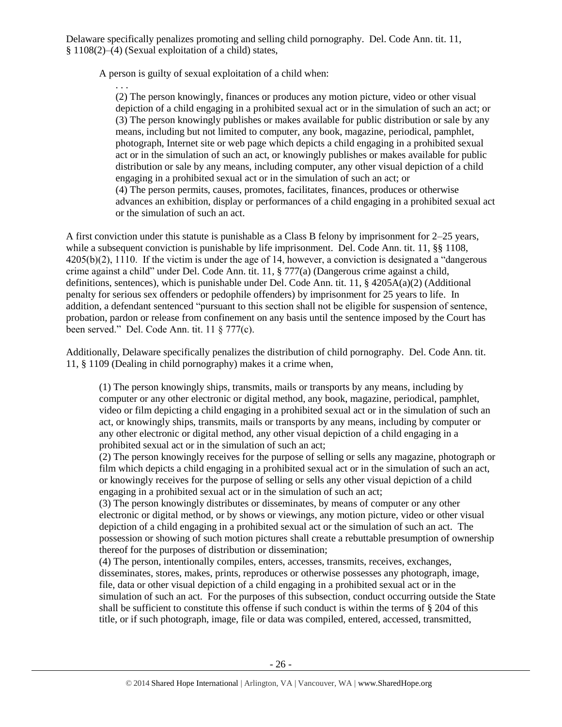Delaware specifically penalizes promoting and selling child pornography. Del. Code Ann. tit. 11, § 1108(2)–(4) (Sexual exploitation of a child) states,

A person is guilty of sexual exploitation of a child when:

. . . (2) The person knowingly, finances or produces any motion picture, video or other visual depiction of a child engaging in a prohibited sexual act or in the simulation of such an act; or (3) The person knowingly publishes or makes available for public distribution or sale by any means, including but not limited to computer, any book, magazine, periodical, pamphlet, photograph, Internet site or web page which depicts a child engaging in a prohibited sexual act or in the simulation of such an act, or knowingly publishes or makes available for public distribution or sale by any means, including computer, any other visual depiction of a child engaging in a prohibited sexual act or in the simulation of such an act; or (4) The person permits, causes, promotes, facilitates, finances, produces or otherwise advances an exhibition, display or performances of a child engaging in a prohibited sexual act or the simulation of such an act.

A first conviction under this statute is punishable as a Class B felony by imprisonment for 2–25 years, while a subsequent conviction is punishable by life imprisonment. Del. Code Ann. tit. 11, §§ 1108, 4205(b)(2), 1110. If the victim is under the age of 14, however, a conviction is designated a "dangerous crime against a child" under Del. Code Ann. tit. 11, § 777(a) (Dangerous crime against a child, definitions, sentences), which is punishable under Del. Code Ann. tit. 11, § 4205A(a)(2) (Additional penalty for serious sex offenders or pedophile offenders) by imprisonment for 25 years to life. In addition, a defendant sentenced "pursuant to this section shall not be eligible for suspension of sentence, probation, pardon or release from confinement on any basis until the sentence imposed by the Court has been served." Del. Code Ann. tit. 11 § 777(c).

Additionally, Delaware specifically penalizes the distribution of child pornography. Del. Code Ann. tit. 11, § 1109 (Dealing in child pornography) makes it a crime when,

(1) The person knowingly ships, transmits, mails or transports by any means, including by computer or any other electronic or digital method, any book, magazine, periodical, pamphlet, video or film depicting a child engaging in a prohibited sexual act or in the simulation of such an act, or knowingly ships, transmits, mails or transports by any means, including by computer or any other electronic or digital method, any other visual depiction of a child engaging in a prohibited sexual act or in the simulation of such an act;

(2) The person knowingly receives for the purpose of selling or sells any magazine, photograph or film which depicts a child engaging in a prohibited sexual act or in the simulation of such an act, or knowingly receives for the purpose of selling or sells any other visual depiction of a child engaging in a prohibited sexual act or in the simulation of such an act;

(3) The person knowingly distributes or disseminates, by means of computer or any other electronic or digital method, or by shows or viewings, any motion picture, video or other visual depiction of a child engaging in a prohibited sexual act or the simulation of such an act. The possession or showing of such motion pictures shall create a rebuttable presumption of ownership thereof for the purposes of distribution or dissemination;

(4) The person, intentionally compiles, enters, accesses, transmits, receives, exchanges, disseminates, stores, makes, prints, reproduces or otherwise possesses any photograph, image, file, data or other visual depiction of a child engaging in a prohibited sexual act or in the simulation of such an act. For the purposes of this subsection, conduct occurring outside the State shall be sufficient to constitute this offense if such conduct is within the terms of § 204 of this title, or if such photograph, image, file or data was compiled, entered, accessed, transmitted,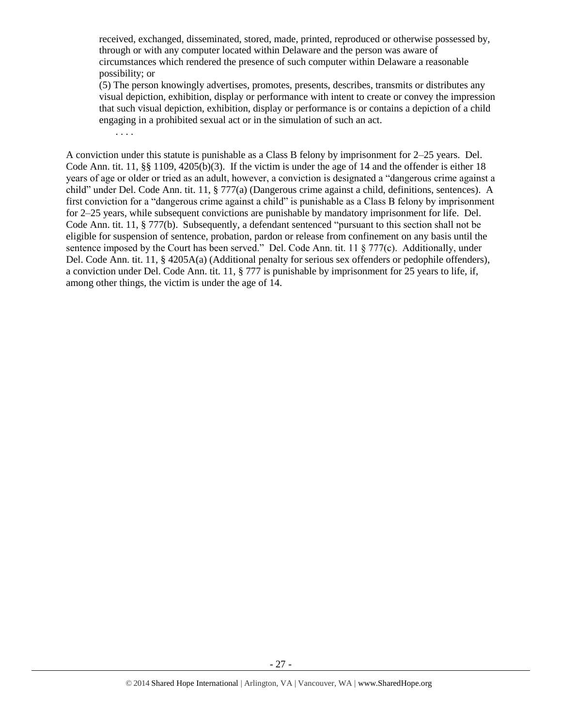received, exchanged, disseminated, stored, made, printed, reproduced or otherwise possessed by, through or with any computer located within Delaware and the person was aware of circumstances which rendered the presence of such computer within Delaware a reasonable possibility; or

(5) The person knowingly advertises, promotes, presents, describes, transmits or distributes any visual depiction, exhibition, display or performance with intent to create or convey the impression that such visual depiction, exhibition, display or performance is or contains a depiction of a child engaging in a prohibited sexual act or in the simulation of such an act.

A conviction under this statute is punishable as a Class B felony by imprisonment for 2–25 years. Del. Code Ann. tit. 11,  $\S$ § 1109, 4205(b)(3). If the victim is under the age of 14 and the offender is either 18 years of age or older or tried as an adult, however, a conviction is designated a "dangerous crime against a child" under Del. Code Ann. tit. 11, § 777(a) (Dangerous crime against a child, definitions, sentences). A first conviction for a "dangerous crime against a child" is punishable as a Class B felony by imprisonment for 2–25 years, while subsequent convictions are punishable by mandatory imprisonment for life. Del. Code Ann. tit. 11, § 777(b). Subsequently, a defendant sentenced "pursuant to this section shall not be eligible for suspension of sentence, probation, pardon or release from confinement on any basis until the sentence imposed by the Court has been served." Del. Code Ann. tit. 11 § 777(c). Additionally, under Del. Code Ann. tit. 11, § 4205A(a) (Additional penalty for serious sex offenders or pedophile offenders), a conviction under Del. Code Ann. tit. 11, § 777 is punishable by imprisonment for 25 years to life, if, among other things, the victim is under the age of 14.

. . . .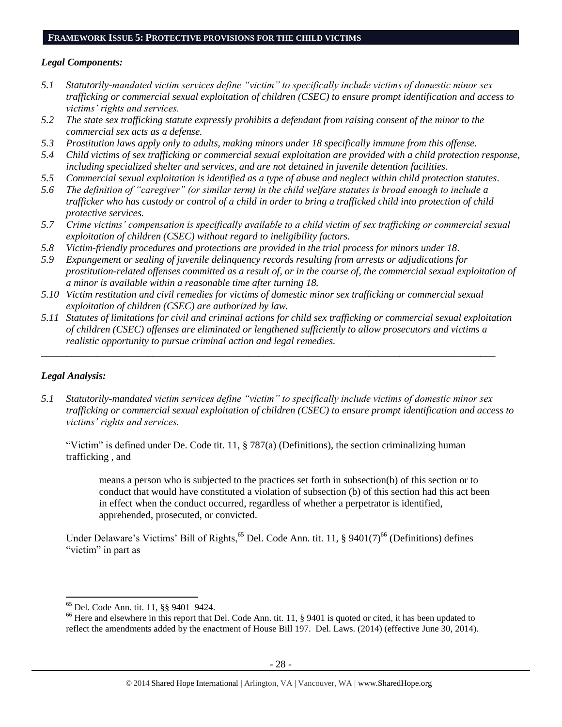#### **FRAMEWORK ISSUE 5: PROTECTIVE PROVISIONS FOR THE CHILD VICTIMS**

### *Legal Components:*

- *5.1 Statutorily-mandated victim services define "victim" to specifically include victims of domestic minor sex trafficking or commercial sexual exploitation of children (CSEC) to ensure prompt identification and access to victims' rights and services.*
- *5.2 The state sex trafficking statute expressly prohibits a defendant from raising consent of the minor to the commercial sex acts as a defense.*
- *5.3 Prostitution laws apply only to adults, making minors under 18 specifically immune from this offense.*
- *5.4 Child victims of sex trafficking or commercial sexual exploitation are provided with a child protection response, including specialized shelter and services, and are not detained in juvenile detention facilities.*
- *5.5 Commercial sexual exploitation is identified as a type of abuse and neglect within child protection statutes.*
- *5.6 The definition of "caregiver" (or similar term) in the child welfare statutes is broad enough to include a trafficker who has custody or control of a child in order to bring a trafficked child into protection of child protective services.*
- *5.7 Crime victims' compensation is specifically available to a child victim of sex trafficking or commercial sexual exploitation of children (CSEC) without regard to ineligibility factors.*
- *5.8 Victim-friendly procedures and protections are provided in the trial process for minors under 18.*
- *5.9 Expungement or sealing of juvenile delinquency records resulting from arrests or adjudications for prostitution-related offenses committed as a result of, or in the course of, the commercial sexual exploitation of a minor is available within a reasonable time after turning 18.*
- *5.10 Victim restitution and civil remedies for victims of domestic minor sex trafficking or commercial sexual exploitation of children (CSEC) are authorized by law.*
- *5.11 Statutes of limitations for civil and criminal actions for child sex trafficking or commercial sexual exploitation of children (CSEC) offenses are eliminated or lengthened sufficiently to allow prosecutors and victims a realistic opportunity to pursue criminal action and legal remedies.*

*\_\_\_\_\_\_\_\_\_\_\_\_\_\_\_\_\_\_\_\_\_\_\_\_\_\_\_\_\_\_\_\_\_\_\_\_\_\_\_\_\_\_\_\_\_\_\_\_\_\_\_\_\_\_\_\_\_\_\_\_\_\_\_\_\_\_\_\_\_\_\_\_\_\_\_\_\_\_\_\_\_\_\_\_\_\_\_\_\_\_*

# *Legal Analysis:*

l

*5.1 Statutorily-mandated victim services define "victim" to specifically include victims of domestic minor sex trafficking or commercial sexual exploitation of children (CSEC) to ensure prompt identification and access to victims' rights and services.*

"Victim" is defined under De. Code tit. 11,  $\S$  787(a) (Definitions), the section criminalizing human trafficking , and

means a person who is subjected to the practices set forth in subsection(b) of this section or to conduct that would have constituted a violation of subsection (b) of this section had this act been in effect when the conduct occurred, regardless of whether a perpetrator is identified, apprehended, prosecuted, or convicted.

Under Delaware's Victims' Bill of Rights,<sup>65</sup> Del. Code Ann. tit. 11, § 9401(7)<sup>66</sup> (Definitions) defines "victim" in part as

<sup>65</sup> Del. Code Ann. tit. 11, §§ 9401–9424.

<sup>&</sup>lt;sup>66</sup> Here and elsewhere in this report that Del. Code Ann. tit. 11, § 9401 is quoted or cited, it has been updated to reflect the amendments added by the enactment of House Bill 197. Del. Laws. (2014) (effective June 30, 2014).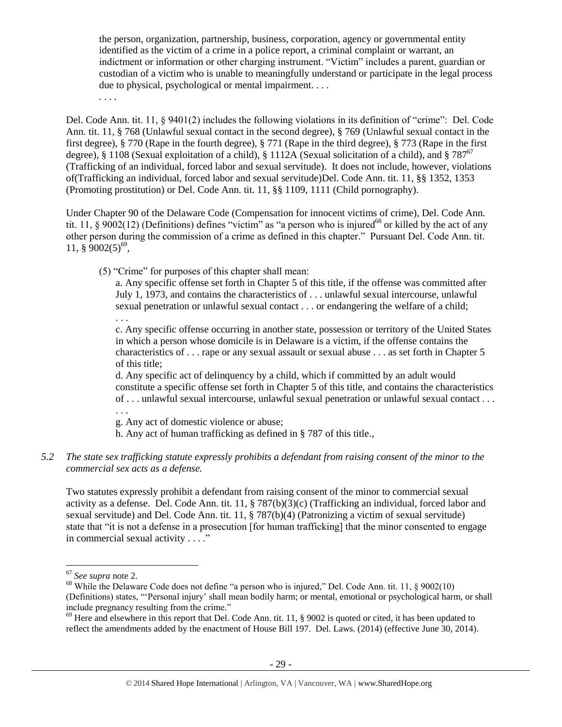the person, organization, partnership, business, corporation, agency or governmental entity identified as the victim of a crime in a police report, a criminal complaint or warrant, an indictment or information or other charging instrument. "Victim" includes a parent, guardian or custodian of a victim who is unable to meaningfully understand or participate in the legal process due to physical, psychological or mental impairment. . . .

. . . .

Del. Code Ann. tit. 11, § 9401(2) includes the following violations in its definition of "crime": Del. Code Ann. tit. 11, § 768 (Unlawful sexual contact in the second degree), § 769 (Unlawful sexual contact in the first degree), § 770 (Rape in the fourth degree), § 771 (Rape in the third degree), § 773 (Rape in the first degree), § 1108 (Sexual exploitation of a child), § 1112A (Sexual solicitation of a child), and § 787<sup>67</sup> (Trafficking of an individual, forced labor and sexual servitude). It does not include, however, violations of(Trafficking an individual, forced labor and sexual servitude)Del. Code Ann. tit. 11, §§ 1352, 1353 (Promoting prostitution) or Del. Code Ann. tit. 11, §§ 1109, 1111 (Child pornography).

Under Chapter 90 of the Delaware Code (Compensation for innocent victims of crime), Del. Code Ann. tit. 11, § 9002(12) (Definitions) defines "victim" as "a person who is injured<sup>68</sup> or killed by the act of any other person during the commission of a crime as defined in this chapter." Pursuant Del. Code Ann. tit. 11,  $\S$  9002(5)<sup>69</sup>,

(5) "Crime" for purposes of this chapter shall mean:

a. Any specific offense set forth in Chapter 5 of this title, if the offense was committed after July 1, 1973, and contains the characteristics of . . . unlawful sexual intercourse, unlawful sexual penetration or unlawful sexual contact . . . or endangering the welfare of a child; . . .

c. Any specific offense occurring in another state, possession or territory of the United States in which a person whose domicile is in Delaware is a victim, if the offense contains the characteristics of . . . rape or any sexual assault or sexual abuse . . . as set forth in Chapter 5 of this title;

d. Any specific act of delinquency by a child, which if committed by an adult would constitute a specific offense set forth in Chapter 5 of this title, and contains the characteristics of . . . unlawful sexual intercourse, unlawful sexual penetration or unlawful sexual contact . . .

. . .

g. Any act of domestic violence or abuse;

h. Any act of human trafficking as defined in § 787 of this title.,

### *5.2 The state sex trafficking statute expressly prohibits a defendant from raising consent of the minor to the commercial sex acts as a defense.*

Two statutes expressly prohibit a defendant from raising consent of the minor to commercial sexual activity as a defense. Del. Code Ann. tit. 11, § 787(b)(3)(c) (Trafficking an individual, forced labor and sexual servitude) and Del. Code Ann. tit. 11, § 787(b)(4) (Patronizing a victim of sexual servitude) state that "it is not a defense in a prosecution [for human trafficking] that the minor consented to engage in commercial sexual activity . . . ."

 $\overline{\phantom{a}}$ 

<sup>67</sup> *See supra* note [2.](#page-0-0)

<sup>&</sup>lt;sup>68</sup> While the Delaware Code does not define "a person who is injured," Del. Code Ann. tit. 11, § 9002(10) (Definitions) states, "'Personal injury' shall mean bodily harm; or mental, emotional or psychological harm, or shall include pregnancy resulting from the crime."

 $^{69}$  Here and elsewhere in this report that Del. Code Ann. tit. 11,  $\frac{8}{9002}$  is quoted or cited, it has been updated to reflect the amendments added by the enactment of House Bill 197. Del. Laws. (2014) (effective June 30, 2014).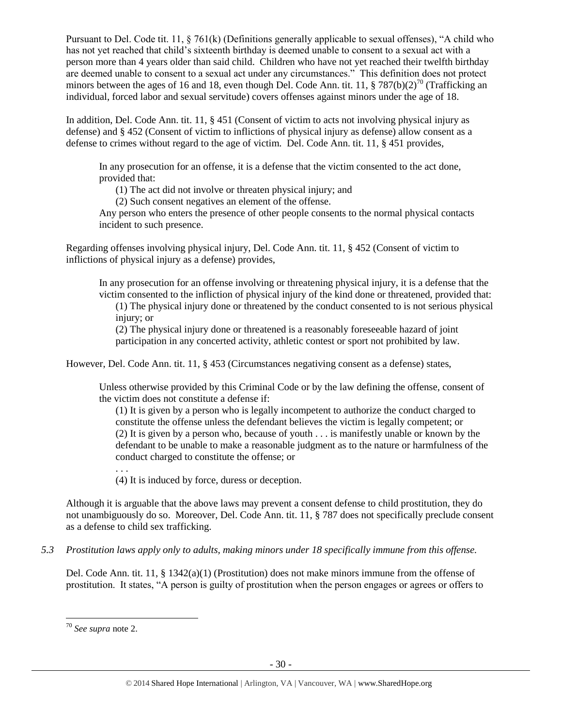Pursuant to Del. Code tit. 11, § 761(k) (Definitions generally applicable to sexual offenses), "A child who has not yet reached that child's sixteenth birthday is deemed unable to consent to a sexual act with a person more than 4 years older than said child. Children who have not yet reached their twelfth birthday are deemed unable to consent to a sexual act under any circumstances." This definition does not protect minors between the ages of 16 and 18, even though Del. Code Ann. tit. 11, § 787(b)(2)<sup>70</sup> (Trafficking an individual, forced labor and sexual servitude) covers offenses against minors under the age of 18.

In addition, Del. Code Ann. tit. 11, § 451 (Consent of victim to acts not involving physical injury as defense) and § 452 (Consent of victim to inflictions of physical injury as defense) allow consent as a defense to crimes without regard to the age of victim. Del. Code Ann. tit. 11, § 451 provides,

In any prosecution for an offense, it is a defense that the victim consented to the act done, provided that:

(1) The act did not involve or threaten physical injury; and

(2) Such consent negatives an element of the offense.

Any person who enters the presence of other people consents to the normal physical contacts incident to such presence.

Regarding offenses involving physical injury, Del. Code Ann. tit. 11, § 452 (Consent of victim to inflictions of physical injury as a defense) provides,

In any prosecution for an offense involving or threatening physical injury, it is a defense that the victim consented to the infliction of physical injury of the kind done or threatened, provided that:

(1) The physical injury done or threatened by the conduct consented to is not serious physical injury; or

(2) The physical injury done or threatened is a reasonably foreseeable hazard of joint participation in any concerted activity, athletic contest or sport not prohibited by law.

However, Del. Code Ann. tit. 11, § 453 (Circumstances negativing consent as a defense) states,

Unless otherwise provided by this Criminal Code or by the law defining the offense, consent of the victim does not constitute a defense if:

(1) It is given by a person who is legally incompetent to authorize the conduct charged to constitute the offense unless the defendant believes the victim is legally competent; or (2) It is given by a person who, because of youth . . . is manifestly unable or known by the defendant to be unable to make a reasonable judgment as to the nature or harmfulness of the conduct charged to constitute the offense; or

(4) It is induced by force, duress or deception.

Although it is arguable that the above laws may prevent a consent defense to child prostitution, they do not unambiguously do so. Moreover, Del. Code Ann. tit. 11, § 787 does not specifically preclude consent as a defense to child sex trafficking.

*5.3 Prostitution laws apply only to adults, making minors under 18 specifically immune from this offense.*

Del. Code Ann. tit. 11, § 1342(a)(1) (Prostitution) does not make minors immune from the offense of prostitution. It states, "A person is guilty of prostitution when the person engages or agrees or offers to

. . .

 $\overline{\phantom{a}}$ <sup>70</sup> *See supra* note [2.](#page-0-0)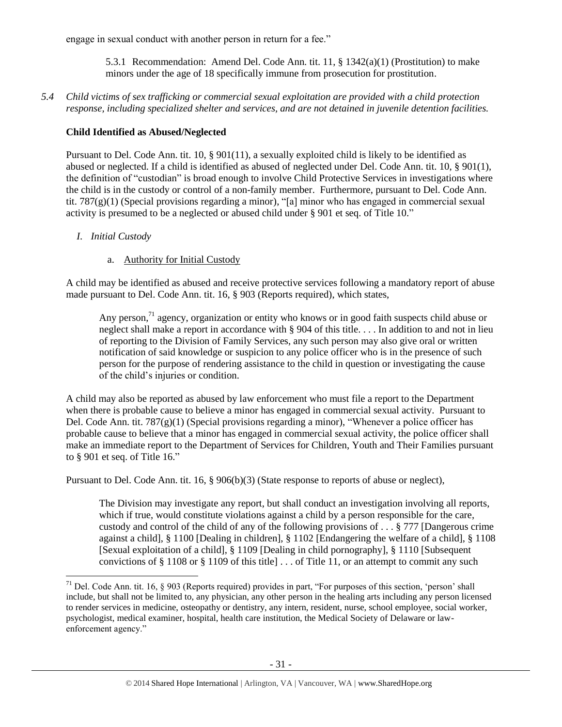engage in sexual conduct with another person in return for a fee."

5.3.1 Recommendation: Amend Del. Code Ann. tit. 11, § 1342(a)(1) (Prostitution) to make minors under the age of 18 specifically immune from prosecution for prostitution.

*5.4 Child victims of sex trafficking or commercial sexual exploitation are provided with a child protection response, including specialized shelter and services, and are not detained in juvenile detention facilities.*

# **Child Identified as Abused/Neglected**

Pursuant to Del. Code Ann. tit. 10, § 901(11), a sexually exploited child is likely to be identified as abused or neglected. If a child is identified as abused of neglected under Del. Code Ann. tit. 10, § 901(1), the definition of "custodian" is broad enough to involve Child Protective Services in investigations where the child is in the custody or control of a non-family member. Furthermore, pursuant to Del. Code Ann. tit. 787(g)(1) (Special provisions regarding a minor), "[a] minor who has engaged in commercial sexual activity is presumed to be a neglected or abused child under § 901 et seq. of Title 10."

- *I. Initial Custody*
	- a. Authority for Initial Custody

A child may be identified as abused and receive protective services following a mandatory report of abuse made pursuant to Del. Code Ann. tit. 16, § 903 (Reports required), which states,

Any person,<sup>71</sup> agency, organization or entity who knows or in good faith suspects child abuse or neglect shall make a report in accordance with § 904 of this title. . . . In addition to and not in lieu of reporting to the Division of Family Services, any such person may also give oral or written notification of said knowledge or suspicion to any police officer who is in the presence of such person for the purpose of rendering assistance to the child in question or investigating the cause of the child's injuries or condition.

A child may also be reported as abused by law enforcement who must file a report to the Department when there is probable cause to believe a minor has engaged in commercial sexual activity. Pursuant to Del. Code Ann. tit. 787(g)(1) (Special provisions regarding a minor), "Whenever a police officer has probable cause to believe that a minor has engaged in commercial sexual activity, the police officer shall make an immediate report to the Department of Services for Children, Youth and Their Families pursuant to § 901 et seq. of Title 16."

Pursuant to Del. Code Ann. tit. 16, § 906(b)(3) (State response to reports of abuse or neglect),

The Division may investigate any report, but shall conduct an investigation involving all reports, which if true, would constitute violations against a child by a person responsible for the care, custody and control of the child of any of the following provisions of . . . § 777 [Dangerous crime against a child], § 1100 [Dealing in children], § 1102 [Endangering the welfare of a child], § 1108 [Sexual exploitation of a child], § 1109 [Dealing in child pornography], § 1110 [Subsequent convictions of  $\S 1108$  or  $\S 1109$  of this title  $\ldots$  of Title 11, or an attempt to commit any such

l <sup>71</sup> Del. Code Ann. tit. 16,  $\S$  903 (Reports required) provides in part, "For purposes of this section, 'person' shall include, but shall not be limited to, any physician, any other person in the healing arts including any person licensed to render services in medicine, osteopathy or dentistry, any intern, resident, nurse, school employee, social worker, psychologist, medical examiner, hospital, health care institution, the Medical Society of Delaware or lawenforcement agency."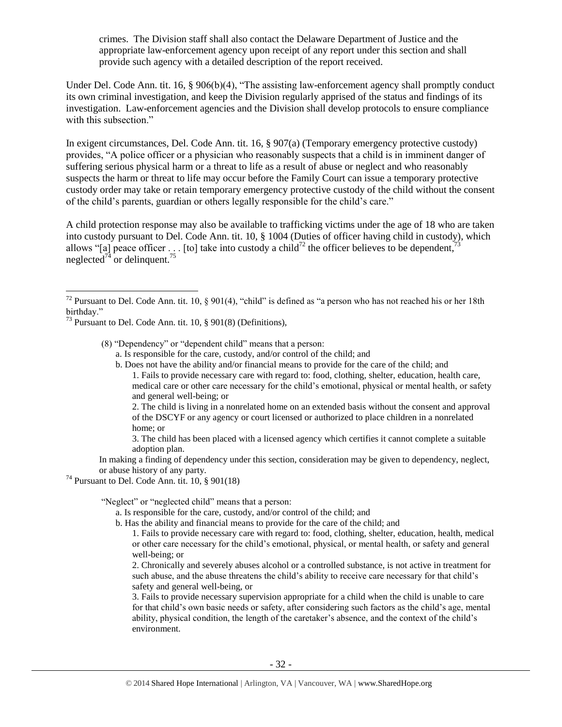crimes. The Division staff shall also contact the Delaware Department of Justice and the appropriate law-enforcement agency upon receipt of any report under this section and shall provide such agency with a detailed description of the report received.

Under Del. Code Ann. tit. 16, § 906(b)(4), "The assisting law-enforcement agency shall promptly conduct its own criminal investigation, and keep the Division regularly apprised of the status and findings of its investigation. Law-enforcement agencies and the Division shall develop protocols to ensure compliance with this subsection."

In exigent circumstances, Del. Code Ann. tit. 16, § 907(a) (Temporary emergency protective custody) provides, "A police officer or a physician who reasonably suspects that a child is in imminent danger of suffering serious physical harm or a threat to life as a result of abuse or neglect and who reasonably suspects the harm or threat to life may occur before the Family Court can issue a temporary protective custody order may take or retain temporary emergency protective custody of the child without the consent of the child's parents, guardian or others legally responsible for the child's care."

A child protection response may also be available to trafficking victims under the age of 18 who are taken into custody pursuant to Del. Code Ann. tit. 10, § 1004 (Duties of officer having child in custody), which allows "[a] peace officer . . . [to] take into custody a child<sup>72</sup> the officer believes to be dependent, neglected<sup> $74$ </sup> or delinquent.<sup>7</sup>

 $\overline{a}$ 

(8) "Dependency" or "dependent child" means that a person:

- a. Is responsible for the care, custody, and/or control of the child; and
- b. Does not have the ability and/or financial means to provide for the care of the child; and 1. Fails to provide necessary care with regard to: food, clothing, shelter, education, health care, medical care or other care necessary for the child's emotional, physical or mental health, or safety and general well-being; or

2. The child is living in a nonrelated home on an extended basis without the consent and approval of the DSCYF or any agency or court licensed or authorized to place children in a nonrelated home; or

3. The child has been placed with a licensed agency which certifies it cannot complete a suitable adoption plan.

In making a finding of dependency under this section, consideration may be given to dependency, neglect, or abuse history of any party.

 $74$  Pursuant to Del. Code Ann. tit. 10,  $\S$  901(18)

"Neglect" or "neglected child" means that a person:

- a. Is responsible for the care, custody, and/or control of the child; and
- b. Has the ability and financial means to provide for the care of the child; and
	- 1. Fails to provide necessary care with regard to: food, clothing, shelter, education, health, medical or other care necessary for the child's emotional, physical, or mental health, or safety and general well-being; or

2. Chronically and severely abuses alcohol or a controlled substance, is not active in treatment for such abuse, and the abuse threatens the child's ability to receive care necessary for that child's safety and general well-being, or

3. Fails to provide necessary supervision appropriate for a child when the child is unable to care for that child's own basic needs or safety, after considering such factors as the child's age, mental ability, physical condition, the length of the caretaker's absence, and the context of the child's environment.

<sup>&</sup>lt;sup>72</sup> Pursuant to Del. Code Ann. tit. 10, § 901(4), "child" is defined as "a person who has not reached his or her 18th birthday."

 $^{73}$  Pursuant to Del. Code Ann. tit. 10, § 901(8) (Definitions),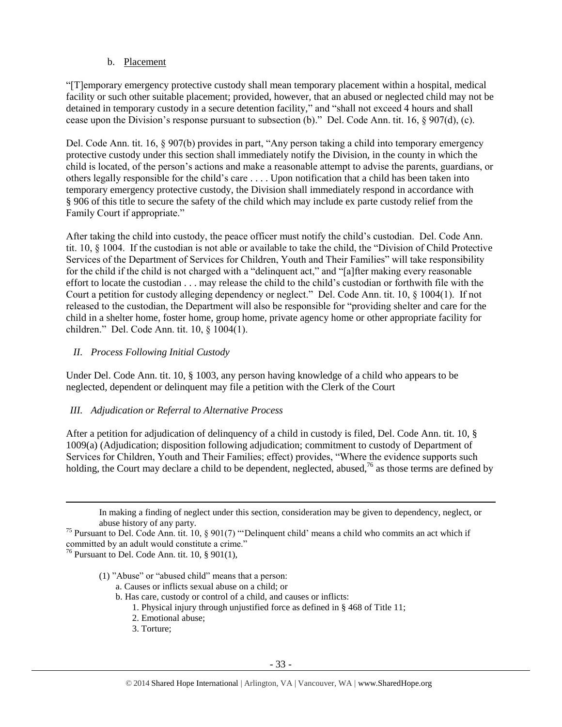### b. Placement

"[T]emporary emergency protective custody shall mean temporary placement within a hospital, medical facility or such other suitable placement; provided, however, that an abused or neglected child may not be detained in temporary custody in a secure detention facility," and "shall not exceed 4 hours and shall cease upon the Division's response pursuant to subsection (b)." Del. Code Ann. tit. 16, § 907(d), (c).

Del. Code Ann. tit. 16, § 907(b) provides in part, "Any person taking a child into temporary emergency protective custody under this section shall immediately notify the Division, in the county in which the child is located, of the person's actions and make a reasonable attempt to advise the parents, guardians, or others legally responsible for the child's care . . . . Upon notification that a child has been taken into temporary emergency protective custody, the Division shall immediately respond in accordance with § 906 of this title to secure the safety of the child which may include ex parte custody relief from the Family Court if appropriate."

After taking the child into custody, the peace officer must notify the child's custodian. Del. Code Ann. tit. 10, § 1004. If the custodian is not able or available to take the child, the "Division of Child Protective Services of the Department of Services for Children, Youth and Their Families" will take responsibility for the child if the child is not charged with a "delinquent act," and "[a]fter making every reasonable effort to locate the custodian . . . may release the child to the child's custodian or forthwith file with the Court a petition for custody alleging dependency or neglect." Del. Code Ann. tit. 10, § 1004(1). If not released to the custodian, the Department will also be responsible for "providing shelter and care for the child in a shelter home, foster home, group home, private agency home or other appropriate facility for children." Del. Code Ann. tit. 10, § 1004(1).

## *II. Process Following Initial Custody*

Under Del. Code Ann. tit. 10, § 1003, any person having knowledge of a child who appears to be neglected, dependent or delinquent may file a petition with the Clerk of the Court

#### *III. Adjudication or Referral to Alternative Process*

After a petition for adjudication of delinquency of a child in custody is filed, Del. Code Ann. tit. 10, § 1009(a) (Adjudication; disposition following adjudication; commitment to custody of Department of Services for Children, Youth and Their Families; effect) provides, "Where the evidence supports such holding, the Court may declare a child to be dependent, neglected, abused,  $^{76}$  as those terms are defined by

In making a finding of neglect under this section, consideration may be given to dependency, neglect, or abuse history of any party.

<sup>75</sup> Pursuant to Del. Code Ann. tit. 10, § 901(7) "'Delinquent child' means a child who commits an act which if committed by an adult would constitute a crime."

 $76$  Pursuant to Del. Code Ann. tit. 10, § 901(1),

 $\overline{\phantom{a}}$ 

(1) "Abuse" or "abused child" means that a person:

a. Causes or inflicts sexual abuse on a child; or

- b. Has care, custody or control of a child, and causes or inflicts:
	- 1. Physical injury through unjustified force as defined in § 468 of Title 11;
	- 2. Emotional abuse;
	- 3. Torture;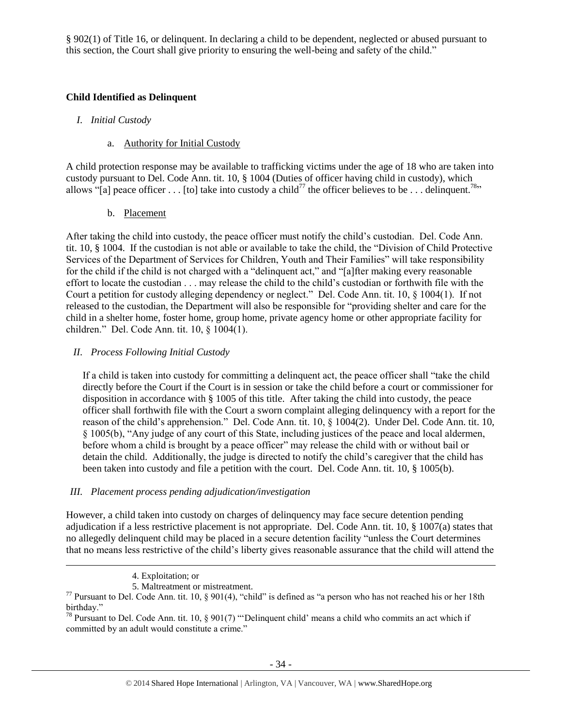§ 902(1) of Title 16, or delinquent. In declaring a child to be dependent, neglected or abused pursuant to this section, the Court shall give priority to ensuring the well-being and safety of the child."

# **Child Identified as Delinquent**

- *I. Initial Custody*
	- a. Authority for Initial Custody

A child protection response may be available to trafficking victims under the age of 18 who are taken into custody pursuant to Del. Code Ann. tit. 10, § 1004 (Duties of officer having child in custody), which allows "[a] peace officer . . . [to] take into custody a child<sup>77</sup> the officer believes to be . . . delinquent.<sup>78</sup>"

b. Placement

After taking the child into custody, the peace officer must notify the child's custodian. Del. Code Ann. tit. 10, § 1004. If the custodian is not able or available to take the child, the "Division of Child Protective Services of the Department of Services for Children, Youth and Their Families" will take responsibility for the child if the child is not charged with a "delinquent act," and "[a]fter making every reasonable effort to locate the custodian . . . may release the child to the child's custodian or forthwith file with the Court a petition for custody alleging dependency or neglect." Del. Code Ann. tit. 10, § 1004(1). If not released to the custodian, the Department will also be responsible for "providing shelter and care for the child in a shelter home, foster home, group home, private agency home or other appropriate facility for children." Del. Code Ann. tit. 10, § 1004(1).

# *II. Process Following Initial Custody*

If a child is taken into custody for committing a delinquent act, the peace officer shall "take the child directly before the Court if the Court is in session or take the child before a court or commissioner for disposition in accordance with § 1005 of this title. After taking the child into custody, the peace officer shall forthwith file with the Court a sworn complaint alleging delinquency with a report for the reason of the child's apprehension." Del. Code Ann. tit. 10, § 1004(2). Under Del. Code Ann. tit. 10, § 1005(b), "Any judge of any court of this State, including justices of the peace and local aldermen, before whom a child is brought by a peace officer" may release the child with or without bail or detain the child. Additionally, the judge is directed to notify the child's caregiver that the child has been taken into custody and file a petition with the court. Del. Code Ann. tit. 10, § 1005(b).

# *III. Placement process pending adjudication/investigation*

However, a child taken into custody on charges of delinquency may face secure detention pending adjudication if a less restrictive placement is not appropriate. Del. Code Ann. tit. 10, § 1007(a) states that no allegedly delinquent child may be placed in a secure detention facility "unless the Court determines that no means less restrictive of the child's liberty gives reasonable assurance that the child will attend the

 $\overline{\phantom{a}}$ 

<sup>4.</sup> Exploitation; or

<sup>5.</sup> Maltreatment or mistreatment.

 $^{77}$  Pursuant to Del. Code Ann. tit. 10, § 901(4), "child" is defined as "a person who has not reached his or her 18th birthday."

<sup>&</sup>lt;sup>78</sup> Pursuant to Del. Code Ann. tit. 10,  $\frac{8}{901(7)}$  "Delinquent child' means a child who commits an act which if committed by an adult would constitute a crime."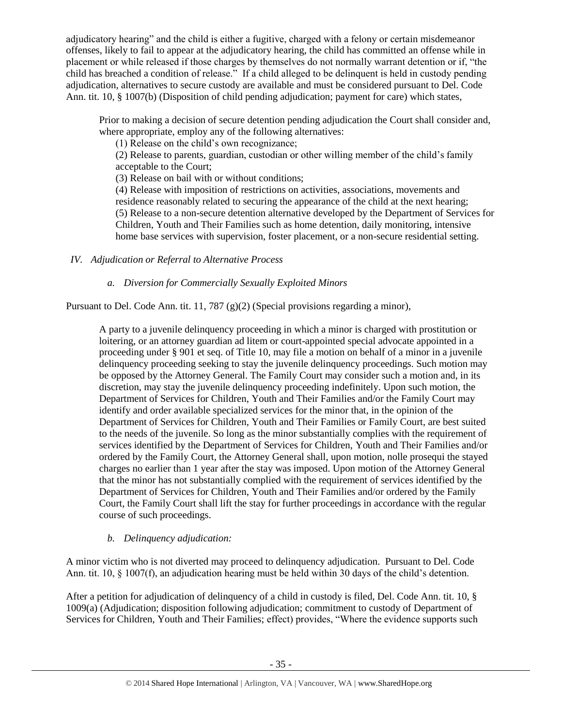adjudicatory hearing" and the child is either a fugitive, charged with a felony or certain misdemeanor offenses, likely to fail to appear at the adjudicatory hearing, the child has committed an offense while in placement or while released if those charges by themselves do not normally warrant detention or if, "the child has breached a condition of release." If a child alleged to be delinquent is held in custody pending adjudication, alternatives to secure custody are available and must be considered pursuant to Del. Code Ann. tit. 10, § 1007(b) (Disposition of child pending adjudication; payment for care) which states,

Prior to making a decision of secure detention pending adjudication the Court shall consider and, where appropriate, employ any of the following alternatives:

(1) Release on the child's own recognizance;

(2) Release to parents, guardian, custodian or other willing member of the child's family acceptable to the Court;

(3) Release on bail with or without conditions;

(4) Release with imposition of restrictions on activities, associations, movements and residence reasonably related to securing the appearance of the child at the next hearing; (5) Release to a non-secure detention alternative developed by the Department of Services for Children, Youth and Their Families such as home detention, daily monitoring, intensive home base services with supervision, foster placement, or a non-secure residential setting.

*IV. Adjudication or Referral to Alternative Process*

# *a. Diversion for Commercially Sexually Exploited Minors*

Pursuant to Del. Code Ann. tit. 11, 787 (g)(2) (Special provisions regarding a minor),

A party to a juvenile delinquency proceeding in which a minor is charged with prostitution or loitering, or an attorney guardian ad litem or court-appointed special advocate appointed in a proceeding under § 901 et seq. of Title 10, may file a motion on behalf of a minor in a juvenile delinquency proceeding seeking to stay the juvenile delinquency proceedings. Such motion may be opposed by the Attorney General. The Family Court may consider such a motion and, in its discretion, may stay the juvenile delinquency proceeding indefinitely. Upon such motion, the Department of Services for Children, Youth and Their Families and/or the Family Court may identify and order available specialized services for the minor that, in the opinion of the Department of Services for Children, Youth and Their Families or Family Court, are best suited to the needs of the juvenile. So long as the minor substantially complies with the requirement of services identified by the Department of Services for Children, Youth and Their Families and/or ordered by the Family Court, the Attorney General shall, upon motion, nolle prosequi the stayed charges no earlier than 1 year after the stay was imposed. Upon motion of the Attorney General that the minor has not substantially complied with the requirement of services identified by the Department of Services for Children, Youth and Their Families and/or ordered by the Family Court, the Family Court shall lift the stay for further proceedings in accordance with the regular course of such proceedings.

# *b. Delinquency adjudication:*

A minor victim who is not diverted may proceed to delinquency adjudication. Pursuant to Del. Code Ann. tit. 10, § 1007(f), an adjudication hearing must be held within 30 days of the child's detention.

After a petition for adjudication of delinquency of a child in custody is filed, Del. Code Ann. tit. 10, § 1009(a) (Adjudication; disposition following adjudication; commitment to custody of Department of Services for Children, Youth and Their Families; effect) provides, "Where the evidence supports such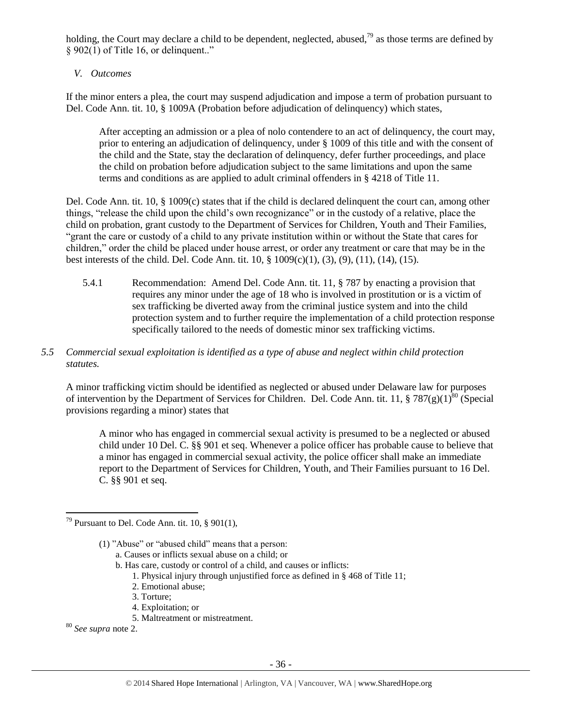holding, the Court may declare a child to be dependent, neglected, abused,  $\frac{79}{9}$  as those terms are defined by § 902(1) of Title 16, or delinquent.."

## *V. Outcomes*

If the minor enters a plea, the court may suspend adjudication and impose a term of probation pursuant to Del. Code Ann. tit. 10, § 1009A (Probation before adjudication of delinquency) which states,

After accepting an admission or a plea of nolo contendere to an act of delinquency, the court may, prior to entering an adjudication of delinquency, under § 1009 of this title and with the consent of the child and the State, stay the declaration of delinquency, defer further proceedings, and place the child on probation before adjudication subject to the same limitations and upon the same terms and conditions as are applied to adult criminal offenders in § 4218 of Title 11.

Del. Code Ann. tit. 10, § 1009(c) states that if the child is declared delinquent the court can, among other things, "release the child upon the child's own recognizance" or in the custody of a relative, place the child on probation, grant custody to the Department of Services for Children, Youth and Their Families, "grant the care or custody of a child to any private institution within or without the State that cares for children," order the child be placed under house arrest, or order any treatment or care that may be in the best interests of the child. Del. Code Ann. tit. 10, § 1009(c)(1), (3), (9), (11), (14), (15).

5.4.1 Recommendation: Amend Del. Code Ann. tit. 11, § 787 by enacting a provision that requires any minor under the age of 18 who is involved in prostitution or is a victim of sex trafficking be diverted away from the criminal justice system and into the child protection system and to further require the implementation of a child protection response specifically tailored to the needs of domestic minor sex trafficking victims.

## *5.5 Commercial sexual exploitation is identified as a type of abuse and neglect within child protection statutes.*

A minor trafficking victim should be identified as neglected or abused under Delaware law for purposes of intervention by the Department of Services for Children. Del. Code Ann. tit. 11, § 787(g)(1)<sup>80</sup> (Special provisions regarding a minor) states that

A minor who has engaged in commercial sexual activity is presumed to be a neglected or abused child under 10 Del. C. §§ 901 et seq. Whenever a police officer has probable cause to believe that a minor has engaged in commercial sexual activity, the police officer shall make an immediate report to the Department of Services for Children, Youth, and Their Families pursuant to 16 Del. C. §§ 901 et seq.

- b. Has care, custody or control of a child, and causes or inflicts:
	- 1. Physical injury through unjustified force as defined in § 468 of Title 11;
	- 2. Emotional abuse;
	- 3. Torture;
	- 4. Exploitation; or
	- 5. Maltreatment or mistreatment.

<sup>80</sup> *See supra* note [2.](#page-0-0)

 $\overline{a}$ <sup>79</sup> Pursuant to Del. Code Ann. tit. 10, § 901(1),

<sup>(1)</sup> "Abuse" or "abused child" means that a person:

a. Causes or inflicts sexual abuse on a child; or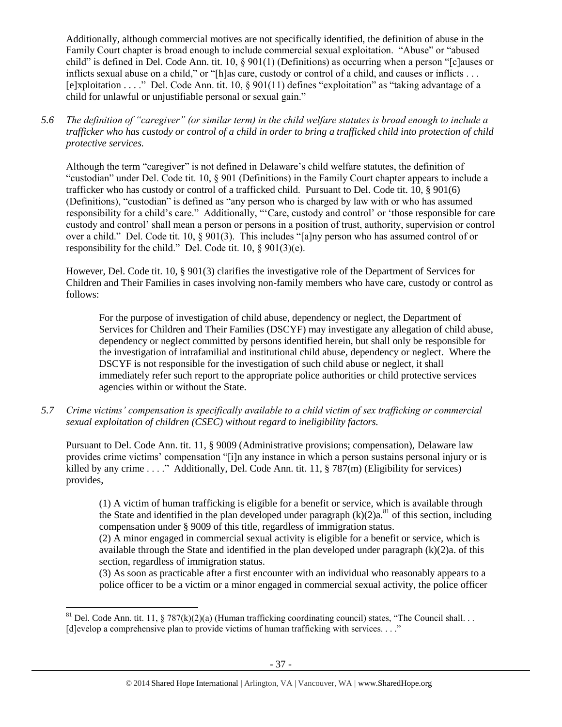Additionally, although commercial motives are not specifically identified, the definition of abuse in the Family Court chapter is broad enough to include commercial sexual exploitation. "Abuse" or "abused child" is defined in Del. Code Ann. tit. 10, § 901(1) (Definitions) as occurring when a person "[c]auses or inflicts sexual abuse on a child," or "[h]as care, custody or control of a child, and causes or inflicts . . . [e]xploitation . . . ." Del. Code Ann. tit. 10, § 901(11) defines "exploitation" as "taking advantage of a child for unlawful or unjustifiable personal or sexual gain."

*5.6 The definition of "caregiver" (or similar term) in the child welfare statutes is broad enough to include a trafficker who has custody or control of a child in order to bring a trafficked child into protection of child protective services.*

Although the term "caregiver" is not defined in Delaware's child welfare statutes, the definition of "custodian" under Del. Code tit. 10, § 901 (Definitions) in the Family Court chapter appears to include a trafficker who has custody or control of a trafficked child. Pursuant to Del. Code tit. 10, § 901(6) (Definitions), "custodian" is defined as "any person who is charged by law with or who has assumed responsibility for a child's care." Additionally, "'Care, custody and control' or 'those responsible for care custody and control' shall mean a person or persons in a position of trust, authority, supervision or control over a child." Del. Code tit. 10, § 901(3). This includes "[a]ny person who has assumed control of or responsibility for the child." Del. Code tit. 10, § 901(3)(e).

However, Del. Code tit. 10, § 901(3) clarifies the investigative role of the Department of Services for Children and Their Families in cases involving non-family members who have care, custody or control as follows:

For the purpose of investigation of child abuse, dependency or neglect, the Department of Services for Children and Their Families (DSCYF) may investigate any allegation of child abuse, dependency or neglect committed by persons identified herein, but shall only be responsible for the investigation of intrafamilial and institutional child abuse, dependency or neglect. Where the DSCYF is not responsible for the investigation of such child abuse or neglect, it shall immediately refer such report to the appropriate police authorities or child protective services agencies within or without the State.

*5.7 Crime victims' compensation is specifically available to a child victim of sex trafficking or commercial sexual exploitation of children (CSEC) without regard to ineligibility factors.*

Pursuant to Del. Code Ann. tit. 11, § 9009 (Administrative provisions; compensation), Delaware law provides crime victims' compensation "[i]n any instance in which a person sustains personal injury or is killed by any crime . . . ." Additionally, Del. Code Ann. tit. 11, § 787(m) (Eligibility for services) provides,

(1) A victim of human trafficking is eligible for a benefit or service, which is available through the State and identified in the plan developed under paragraph  $(k)(2)a$ .<sup>81</sup> of this section, including compensation under § 9009 of this title, regardless of immigration status.

(2) A minor engaged in commercial sexual activity is eligible for a benefit or service, which is available through the State and identified in the plan developed under paragraph (k)(2)a. of this section, regardless of immigration status.

(3) As soon as practicable after a first encounter with an individual who reasonably appears to a police officer to be a victim or a minor engaged in commercial sexual activity, the police officer

 $\overline{a}$ <sup>81</sup> Del. Code Ann. tit. 11, § 787(k)(2)(a) (Human trafficking coordinating council) states, "The Council shall... [d]evelop a comprehensive plan to provide victims of human trafficking with services. . . ."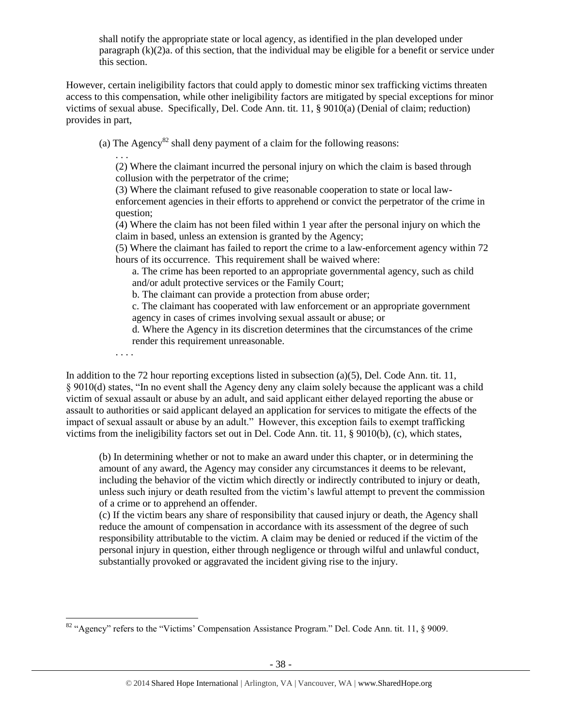shall notify the appropriate state or local agency, as identified in the plan developed under paragraph  $(k)(2)a$ . of this section, that the individual may be eligible for a benefit or service under this section.

However, certain ineligibility factors that could apply to domestic minor sex trafficking victims threaten access to this compensation, while other ineligibility factors are mitigated by special exceptions for minor victims of sexual abuse. Specifically, Del. Code Ann. tit. 11, § 9010(a) (Denial of claim; reduction) provides in part,

(a) The Agency<sup>82</sup> shall deny payment of a claim for the following reasons:

. . . (2) Where the claimant incurred the personal injury on which the claim is based through collusion with the perpetrator of the crime;

(3) Where the claimant refused to give reasonable cooperation to state or local lawenforcement agencies in their efforts to apprehend or convict the perpetrator of the crime in question;

(4) Where the claim has not been filed within 1 year after the personal injury on which the claim in based, unless an extension is granted by the Agency;

(5) Where the claimant has failed to report the crime to a law-enforcement agency within 72 hours of its occurrence. This requirement shall be waived where:

a. The crime has been reported to an appropriate governmental agency, such as child and/or adult protective services or the Family Court;

b. The claimant can provide a protection from abuse order;

c. The claimant has cooperated with law enforcement or an appropriate government agency in cases of crimes involving sexual assault or abuse; or

d. Where the Agency in its discretion determines that the circumstances of the crime render this requirement unreasonable.

. . . .

In addition to the 72 hour reporting exceptions listed in subsection (a)(5), Del. Code Ann. tit. 11, § 9010(d) states, "In no event shall the Agency deny any claim solely because the applicant was a child victim of sexual assault or abuse by an adult, and said applicant either delayed reporting the abuse or assault to authorities or said applicant delayed an application for services to mitigate the effects of the impact of sexual assault or abuse by an adult." However, this exception fails to exempt trafficking victims from the ineligibility factors set out in Del. Code Ann. tit. 11, § 9010(b), (c), which states,

(b) In determining whether or not to make an award under this chapter, or in determining the amount of any award, the Agency may consider any circumstances it deems to be relevant, including the behavior of the victim which directly or indirectly contributed to injury or death, unless such injury or death resulted from the victim's lawful attempt to prevent the commission of a crime or to apprehend an offender.

(c) If the victim bears any share of responsibility that caused injury or death, the Agency shall reduce the amount of compensation in accordance with its assessment of the degree of such responsibility attributable to the victim. A claim may be denied or reduced if the victim of the personal injury in question, either through negligence or through wilful and unlawful conduct, substantially provoked or aggravated the incident giving rise to the injury.

 $\overline{\phantom{a}}$ <sup>82</sup> "Agency" refers to the "Victims' Compensation Assistance Program." Del. Code Ann. tit. 11, § 9009.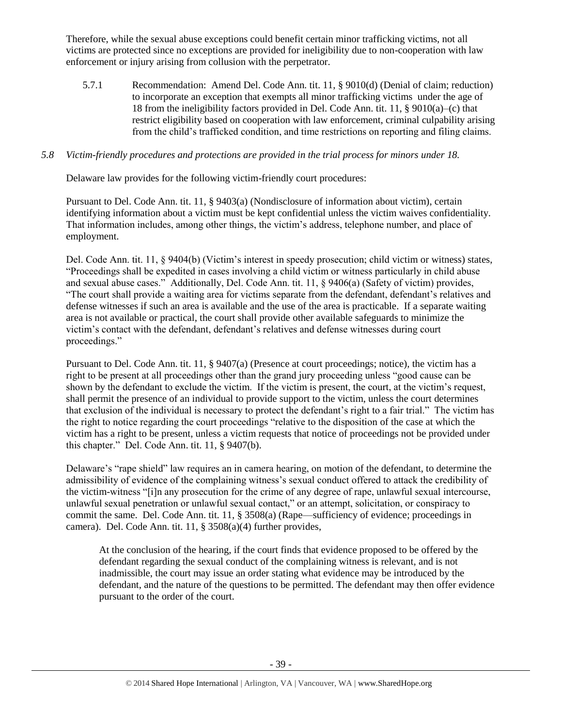Therefore, while the sexual abuse exceptions could benefit certain minor trafficking victims, not all victims are protected since no exceptions are provided for ineligibility due to non-cooperation with law enforcement or injury arising from collusion with the perpetrator.

5.7.1 Recommendation: Amend Del. Code Ann. tit. 11, § 9010(d) (Denial of claim; reduction) to incorporate an exception that exempts all minor trafficking victims under the age of 18 from the ineligibility factors provided in Del. Code Ann. tit. 11, § 9010(a)–(c) that restrict eligibility based on cooperation with law enforcement, criminal culpability arising from the child's trafficked condition, and time restrictions on reporting and filing claims.

### *5.8 Victim-friendly procedures and protections are provided in the trial process for minors under 18.*

Delaware law provides for the following victim-friendly court procedures:

Pursuant to Del. Code Ann. tit. 11, § 9403(a) (Nondisclosure of information about victim), certain identifying information about a victim must be kept confidential unless the victim waives confidentiality. That information includes, among other things, the victim's address, telephone number, and place of employment.

Del. Code Ann. tit. 11, § 9404(b) (Victim's interest in speedy prosecution; child victim or witness) states, "Proceedings shall be expedited in cases involving a child victim or witness particularly in child abuse and sexual abuse cases." Additionally, Del. Code Ann. tit. 11, § 9406(a) (Safety of victim) provides, "The court shall provide a waiting area for victims separate from the defendant, defendant's relatives and defense witnesses if such an area is available and the use of the area is practicable. If a separate waiting area is not available or practical, the court shall provide other available safeguards to minimize the victim's contact with the defendant, defendant's relatives and defense witnesses during court proceedings."

Pursuant to Del. Code Ann. tit. 11, § 9407(a) (Presence at court proceedings; notice), the victim has a right to be present at all proceedings other than the grand jury proceeding unless "good cause can be shown by the defendant to exclude the victim. If the victim is present, the court, at the victim's request, shall permit the presence of an individual to provide support to the victim, unless the court determines that exclusion of the individual is necessary to protect the defendant's right to a fair trial." The victim has the right to notice regarding the court proceedings "relative to the disposition of the case at which the victim has a right to be present, unless a victim requests that notice of proceedings not be provided under this chapter." Del. Code Ann. tit. 11, § 9407(b).

Delaware's "rape shield" law requires an in camera hearing, on motion of the defendant, to determine the admissibility of evidence of the complaining witness's sexual conduct offered to attack the credibility of the victim-witness "[i]n any prosecution for the crime of any degree of rape, unlawful sexual intercourse, unlawful sexual penetration or unlawful sexual contact," or an attempt, solicitation, or conspiracy to commit the same. Del. Code Ann. tit. 11, § 3508(a) (Rape—sufficiency of evidence; proceedings in camera). Del. Code Ann. tit. 11, § 3508(a)(4) further provides,

At the conclusion of the hearing, if the court finds that evidence proposed to be offered by the defendant regarding the sexual conduct of the complaining witness is relevant, and is not inadmissible, the court may issue an order stating what evidence may be introduced by the defendant, and the nature of the questions to be permitted. The defendant may then offer evidence pursuant to the order of the court.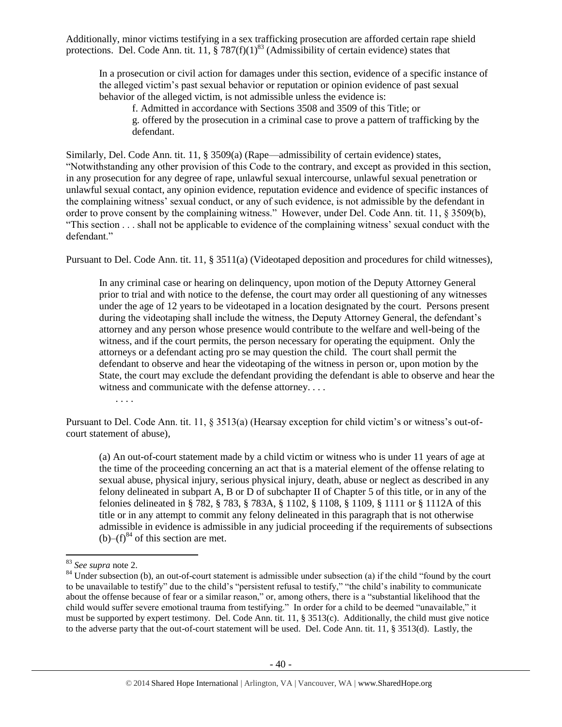Additionally, minor victims testifying in a sex trafficking prosecution are afforded certain rape shield protections. Del. Code Ann. tit. 11,  $\frac{8}{3}$  787(f)(1)<sup>83</sup> (Admissibility of certain evidence) states that

In a prosecution or civil action for damages under this section, evidence of a specific instance of the alleged victim's past sexual behavior or reputation or opinion evidence of past sexual behavior of the alleged victim, is not admissible unless the evidence is:

f. Admitted in accordance with Sections 3508 and 3509 of this Title; or g. offered by the prosecution in a criminal case to prove a pattern of trafficking by the defendant.

Similarly, Del. Code Ann. tit. 11, § 3509(a) (Rape—admissibility of certain evidence) states, "Notwithstanding any other provision of this Code to the contrary, and except as provided in this section, in any prosecution for any degree of rape, unlawful sexual intercourse, unlawful sexual penetration or unlawful sexual contact, any opinion evidence, reputation evidence and evidence of specific instances of the complaining witness' sexual conduct, or any of such evidence, is not admissible by the defendant in order to prove consent by the complaining witness." However, under Del. Code Ann. tit. 11, § 3509(b), "This section . . . shall not be applicable to evidence of the complaining witness' sexual conduct with the defendant."

Pursuant to Del. Code Ann. tit. 11, § 3511(a) (Videotaped deposition and procedures for child witnesses),

In any criminal case or hearing on delinquency, upon motion of the Deputy Attorney General prior to trial and with notice to the defense, the court may order all questioning of any witnesses under the age of 12 years to be videotaped in a location designated by the court. Persons present during the videotaping shall include the witness, the Deputy Attorney General, the defendant's attorney and any person whose presence would contribute to the welfare and well-being of the witness, and if the court permits, the person necessary for operating the equipment. Only the attorneys or a defendant acting pro se may question the child. The court shall permit the defendant to observe and hear the videotaping of the witness in person or, upon motion by the State, the court may exclude the defendant providing the defendant is able to observe and hear the witness and communicate with the defense attorney. . . .

. . . .

Pursuant to Del. Code Ann. tit. 11, § 3513(a) (Hearsay exception for child victim's or witness's out-ofcourt statement of abuse),

(a) An out-of-court statement made by a child victim or witness who is under 11 years of age at the time of the proceeding concerning an act that is a material element of the offense relating to sexual abuse, physical injury, serious physical injury, death, abuse or neglect as described in any felony delineated in subpart A, B or D of subchapter II of Chapter 5 of this title, or in any of the felonies delineated in § 782, § 783, § 783A, § 1102, § 1108, § 1109, § 1111 or § 1112A of this title or in any attempt to commit any felony delineated in this paragraph that is not otherwise admissible in evidence is admissible in any judicial proceeding if the requirements of subsections  $(b)$ – $(f)$ <sup>84</sup> of this section are met.

 $\overline{\phantom{a}}$ <sup>83</sup> *See supra* note [2.](#page-0-0)

 $84$  Under subsection (b), an out-of-court statement is admissible under subsection (a) if the child "found by the court to be unavailable to testify" due to the child's "persistent refusal to testify," "the child's inability to communicate about the offense because of fear or a similar reason," or, among others, there is a "substantial likelihood that the child would suffer severe emotional trauma from testifying." In order for a child to be deemed "unavailable," it must be supported by expert testimony. Del. Code Ann. tit. 11, § 3513(c). Additionally, the child must give notice to the adverse party that the out-of-court statement will be used. Del. Code Ann. tit. 11, § 3513(d). Lastly, the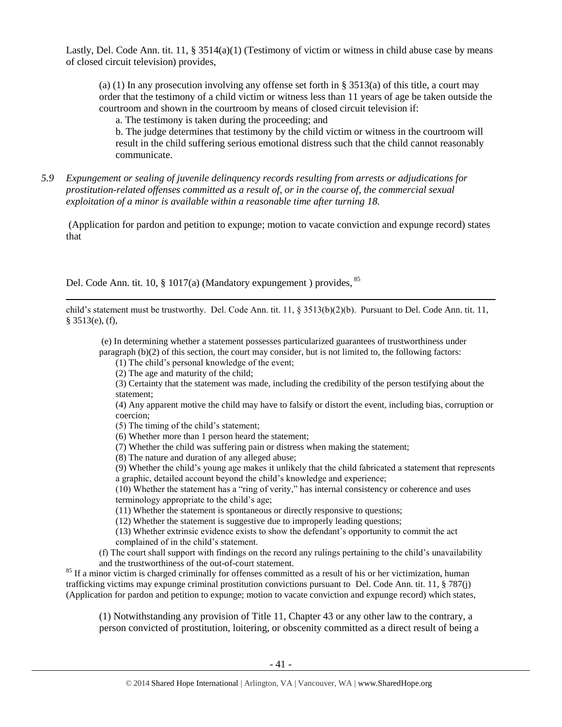Lastly, Del. Code Ann. tit. 11, § 3514(a)(1) (Testimony of victim or witness in child abuse case by means of closed circuit television) provides,

(a) (1) In any prosecution involving any offense set forth in § 3513(a) of this title, a court may order that the testimony of a child victim or witness less than 11 years of age be taken outside the courtroom and shown in the courtroom by means of closed circuit television if:

a. The testimony is taken during the proceeding; and

b. The judge determines that testimony by the child victim or witness in the courtroom will result in the child suffering serious emotional distress such that the child cannot reasonably communicate.

*5.9 Expungement or sealing of juvenile delinquency records resulting from arrests or adjudications for prostitution-related offenses committed as a result of, or in the course of, the commercial sexual exploitation of a minor is available within a reasonable time after turning 18.*

(Application for pardon and petition to expunge; motion to vacate conviction and expunge record) states that

Del. Code Ann. tit. 10, § 1017(a) (Mandatory expungement ) provides, <sup>85</sup>

child's statement must be trustworthy. Del. Code Ann. tit. 11, § 3513(b)(2)(b). Pursuant to Del. Code Ann. tit. 11, § 3513(e), (f),

(e) In determining whether a statement possesses particularized guarantees of trustworthiness under paragraph (b)(2) of this section, the court may consider, but is not limited to, the following factors:

(1) The child's personal knowledge of the event;

(2) The age and maturity of the child;

 $\overline{\phantom{a}}$ 

(3) Certainty that the statement was made, including the credibility of the person testifying about the statement;

(4) Any apparent motive the child may have to falsify or distort the event, including bias, corruption or coercion;

(5) The timing of the child's statement;

- (6) Whether more than 1 person heard the statement;
- (7) Whether the child was suffering pain or distress when making the statement;
- (8) The nature and duration of any alleged abuse;

(9) Whether the child's young age makes it unlikely that the child fabricated a statement that represents a graphic, detailed account beyond the child's knowledge and experience;

(10) Whether the statement has a "ring of verity," has internal consistency or coherence and uses terminology appropriate to the child's age;

(11) Whether the statement is spontaneous or directly responsive to questions;

(12) Whether the statement is suggestive due to improperly leading questions;

(13) Whether extrinsic evidence exists to show the defendant's opportunity to commit the act complained of in the child's statement.

(f) The court shall support with findings on the record any rulings pertaining to the child's unavailability and the trustworthiness of the out-of-court statement.

<sup>85</sup> If a minor victim is charged criminally for offenses committed as a result of his or her victimization, human trafficking victims may expunge criminal prostitution convictions pursuant to Del. Code Ann. tit. 11, § 787(j) (Application for pardon and petition to expunge; motion to vacate conviction and expunge record) which states,

(1) Notwithstanding any provision of Title 11, Chapter 43 or any other law to the contrary, a person convicted of prostitution, loitering, or obscenity committed as a direct result of being a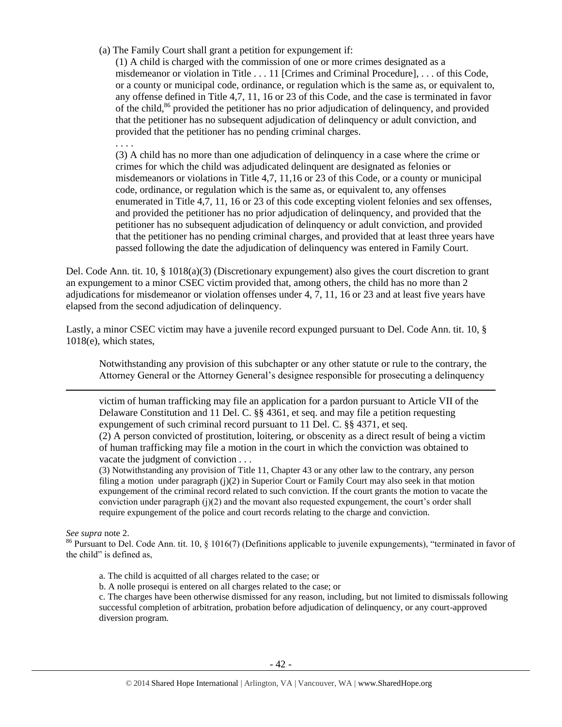(a) The Family Court shall grant a petition for expungement if:

(1) A child is charged with the commission of one or more crimes designated as a misdemeanor or violation in Title . . . 11 [Crimes and Criminal Procedure], . . . of this Code, or a county or municipal code, ordinance, or regulation which is the same as, or equivalent to, any offense defined in Title 4,7, 11, 16 or 23 of this Code, and the case is terminated in favor of the child,<sup>86</sup> provided the petitioner has no prior adjudication of delinquency, and provided that the petitioner has no subsequent adjudication of delinquency or adult conviction, and provided that the petitioner has no pending criminal charges.

. . . .

(3) A child has no more than one adjudication of delinquency in a case where the crime or crimes for which the child was adjudicated delinquent are designated as felonies or misdemeanors or violations in Title 4,7, 11,16 or 23 of this Code, or a county or municipal code, ordinance, or regulation which is the same as, or equivalent to, any offenses enumerated in Title 4,7, 11, 16 or 23 of this code excepting violent felonies and sex offenses, and provided the petitioner has no prior adjudication of delinquency, and provided that the petitioner has no subsequent adjudication of delinquency or adult conviction, and provided that the petitioner has no pending criminal charges, and provided that at least three years have passed following the date the adjudication of delinquency was entered in Family Court.

Del. Code Ann. tit. 10, § 1018(a)(3) (Discretionary expungement) also gives the court discretion to grant an expungement to a minor CSEC victim provided that, among others, the child has no more than 2 adjudications for misdemeanor or violation offenses under 4, 7, 11, 16 or 23 and at least five years have elapsed from the second adjudication of delinquency.

Lastly, a minor CSEC victim may have a juvenile record expunged pursuant to Del. Code Ann. tit. 10, § 1018(e), which states,

Notwithstanding any provision of this subchapter or any other statute or rule to the contrary, the Attorney General or the Attorney General's designee responsible for prosecuting a delinquency

victim of human trafficking may file an application for a pardon pursuant to Article VII of the Delaware Constitution and 11 Del. C. §§ 4361, et seq. and may file a petition requesting expungement of such criminal record pursuant to 11 Del. C. §§ 4371, et seq.

(2) A person convicted of prostitution, loitering, or obscenity as a direct result of being a victim of human trafficking may file a motion in the court in which the conviction was obtained to vacate the judgment of conviction . . .

(3) Notwithstanding any provision of Title 11, Chapter 43 or any other law to the contrary, any person filing a motion under paragraph (j)(2) in Superior Court or Family Court may also seek in that motion expungement of the criminal record related to such conviction. If the court grants the motion to vacate the conviction under paragraph  $(i)(2)$  and the movant also requested expungement, the court's order shall require expungement of the police and court records relating to the charge and conviction.

*See supra* note [2.](#page-0-0)

l

<sup>86</sup> Pursuant to Del. Code Ann. tit. 10, § 1016(7) (Definitions applicable to juvenile expungements), "terminated in favor of the child" is defined as,

a. The child is acquitted of all charges related to the case; or

b. A nolle prosequi is entered on all charges related to the case; or

c. The charges have been otherwise dismissed for any reason, including, but not limited to dismissals following successful completion of arbitration, probation before adjudication of delinquency, or any court-approved diversion program.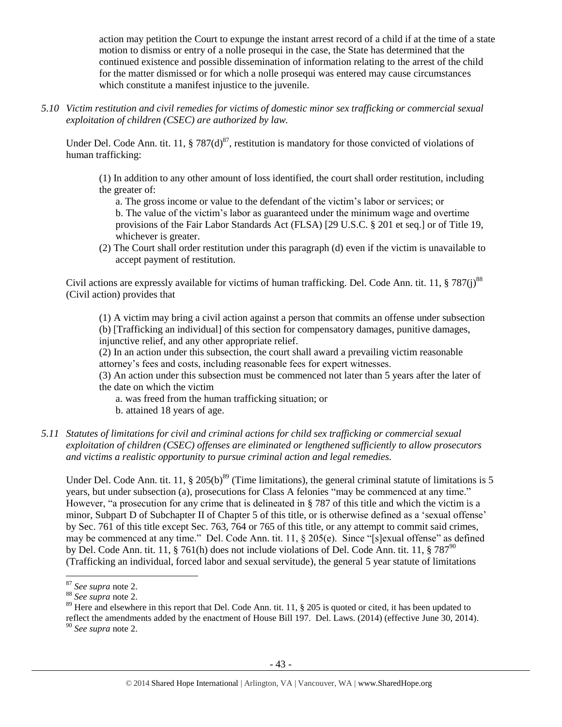action may petition the Court to expunge the instant arrest record of a child if at the time of a state motion to dismiss or entry of a nolle prosequi in the case, the State has determined that the continued existence and possible dissemination of information relating to the arrest of the child for the matter dismissed or for which a nolle prosequi was entered may cause circumstances which constitute a manifest injustice to the juvenile.

*5.10 Victim restitution and civil remedies for victims of domestic minor sex trafficking or commercial sexual exploitation of children (CSEC) are authorized by law.* 

Under Del. Code Ann. tit. 11, § 787 $(d)^{87}$ , restitution is mandatory for those convicted of violations of human trafficking:

(1) In addition to any other amount of loss identified, the court shall order restitution, including the greater of:

a. The gross income or value to the defendant of the victim's labor or services; or b. The value of the victim's labor as guaranteed under the minimum wage and overtime provisions of the Fair Labor Standards Act (FLSA) [29 U.S.C. § 201 et seq.] or of Title 19, whichever is greater.

(2) The Court shall order restitution under this paragraph (d) even if the victim is unavailable to accept payment of restitution.

Civil actions are expressly available for victims of human trafficking. Del. Code Ann. tit. 11,  $\S 787(i)^{88}$ (Civil action) provides that

(1) A victim may bring a civil action against a person that commits an offense under subsection (b) [Trafficking an individual] of this section for compensatory damages, punitive damages, injunctive relief, and any other appropriate relief.

(2) In an action under this subsection, the court shall award a prevailing victim reasonable attorney's fees and costs, including reasonable fees for expert witnesses.

(3) An action under this subsection must be commenced not later than 5 years after the later of the date on which the victim

a. was freed from the human trafficking situation; or

- b. attained 18 years of age.
- *5.11 Statutes of limitations for civil and criminal actions for child sex trafficking or commercial sexual exploitation of children (CSEC) offenses are eliminated or lengthened sufficiently to allow prosecutors and victims a realistic opportunity to pursue criminal action and legal remedies.*

Under Del. Code Ann. tit. 11,  $\S 205(b)^{89}$  (Time limitations), the general criminal statute of limitations is 5 years, but under subsection (a), prosecutions for Class A felonies "may be commenced at any time." However, "a prosecution for any crime that is delineated in § 787 of this title and which the victim is a minor, Subpart D of Subchapter II of Chapter 5 of this title, or is otherwise defined as a 'sexual offense' by Sec. 761 of this title except Sec. 763, 764 or 765 of this title, or any attempt to commit said crimes, may be commenced at any time." Del. Code Ann. tit. 11, § 205(e). Since "[s]exual offense" as defined by Del. Code Ann. tit. 11,  $\S 761(h)$  does not include violations of Del. Code Ann. tit. 11,  $\S 787^{90}$ (Trafficking an individual, forced labor and sexual servitude), the general 5 year statute of limitations

l <sup>87</sup> *See supra* note [2.](#page-0-0)

<sup>88</sup> *See supra* note [2.](#page-0-0)

<sup>&</sup>lt;sup>89</sup> Here and elsewhere in this report that Del. Code Ann. tit. 11, § 205 is quoted or cited, it has been updated to

reflect the amendments added by the enactment of House Bill 197. Del. Laws. (2014) (effective June 30, 2014). <sup>90</sup> *See supra* note [2.](#page-0-0)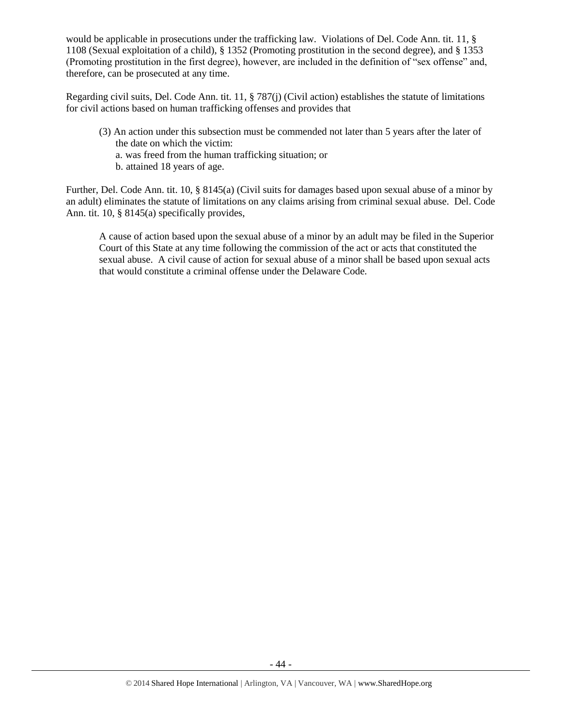would be applicable in prosecutions under the trafficking law. Violations of Del. Code Ann. tit. 11, § 1108 (Sexual exploitation of a child), § 1352 (Promoting prostitution in the second degree), and § 1353 (Promoting prostitution in the first degree), however, are included in the definition of "sex offense" and, therefore, can be prosecuted at any time.

Regarding civil suits, Del. Code Ann. tit. 11, § 787(j) (Civil action) establishes the statute of limitations for civil actions based on human trafficking offenses and provides that

- (3) An action under this subsection must be commended not later than 5 years after the later of the date on which the victim:
	- a. was freed from the human trafficking situation; or
	- b. attained 18 years of age.

Further, Del. Code Ann. tit. 10, § 8145(a) (Civil suits for damages based upon sexual abuse of a minor by an adult) eliminates the statute of limitations on any claims arising from criminal sexual abuse. Del. Code Ann. tit. 10, § 8145(a) specifically provides,

A cause of action based upon the sexual abuse of a minor by an adult may be filed in the Superior Court of this State at any time following the commission of the act or acts that constituted the sexual abuse. A civil cause of action for sexual abuse of a minor shall be based upon sexual acts that would constitute a criminal offense under the Delaware Code.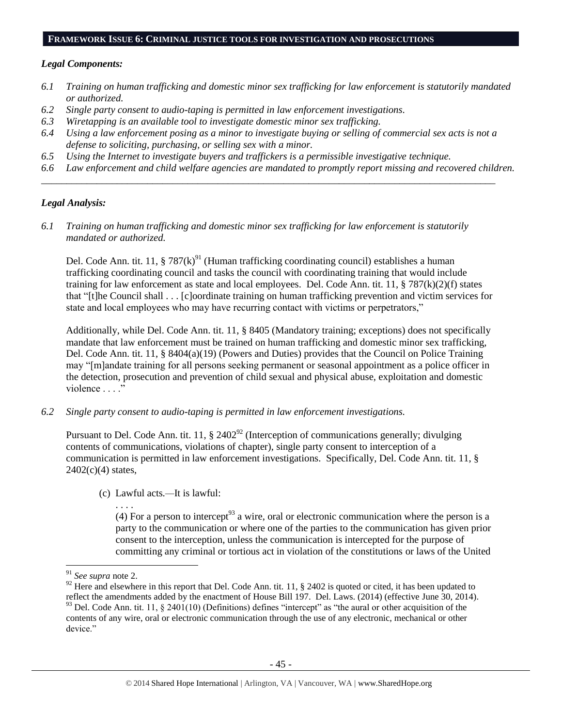#### **FRAMEWORK ISSUE 6: CRIMINAL JUSTICE TOOLS FOR INVESTIGATION AND PROSECUTIONS**

#### *Legal Components:*

- *6.1 Training on human trafficking and domestic minor sex trafficking for law enforcement is statutorily mandated or authorized.*
- *6.2 Single party consent to audio-taping is permitted in law enforcement investigations.*
- *6.3 Wiretapping is an available tool to investigate domestic minor sex trafficking.*
- *6.4 Using a law enforcement posing as a minor to investigate buying or selling of commercial sex acts is not a defense to soliciting, purchasing, or selling sex with a minor.*

*\_\_\_\_\_\_\_\_\_\_\_\_\_\_\_\_\_\_\_\_\_\_\_\_\_\_\_\_\_\_\_\_\_\_\_\_\_\_\_\_\_\_\_\_\_\_\_\_\_\_\_\_\_\_\_\_\_\_\_\_\_\_\_\_\_\_\_\_\_\_\_\_\_\_\_\_\_\_\_\_\_\_\_\_\_\_\_\_\_\_*

- *6.5 Using the Internet to investigate buyers and traffickers is a permissible investigative technique.*
- *6.6 Law enforcement and child welfare agencies are mandated to promptly report missing and recovered children.*

#### *Legal Analysis:*

*6.1 Training on human trafficking and domestic minor sex trafficking for law enforcement is statutorily mandated or authorized.*

Del. Code Ann. tit. 11, § 787 $(k)$ <sup>91</sup> (Human trafficking coordinating council) establishes a human trafficking coordinating council and tasks the council with coordinating training that would include training for law enforcement as state and local employees. Del. Code Ann. tit. 11,  $\S 787(k)(2)(f)$  states that "[t]he Council shall . . . [c]oordinate training on human trafficking prevention and victim services for state and local employees who may have recurring contact with victims or perpetrators,"

Additionally, while Del. Code Ann. tit. 11, § 8405 (Mandatory training; exceptions) does not specifically mandate that law enforcement must be trained on human trafficking and domestic minor sex trafficking, Del. Code Ann. tit. 11, § 8404(a)(19) (Powers and Duties) provides that the Council on Police Training may "[m]andate training for all persons seeking permanent or seasonal appointment as a police officer in the detection, prosecution and prevention of child sexual and physical abuse, exploitation and domestic violence . . . ."

*6.2 Single party consent to audio-taping is permitted in law enforcement investigations.*

Pursuant to Del. Code Ann. tit. 11,  $\S 2402^{\frac{92}{}}$  (Interception of communications generally; divulging contents of communications, violations of chapter), single party consent to interception of a communication is permitted in law enforcement investigations. Specifically, Del. Code Ann. tit. 11, §  $2402(c)(4)$  states,

(c) Lawful acts*.—*It is lawful:

(4) For a person to intercept<sup>93</sup> a wire, oral or electronic communication where the person is a party to the communication or where one of the parties to the communication has given prior consent to the interception, unless the communication is intercepted for the purpose of committing any criminal or tortious act in violation of the constitutions or laws of the United

 $\overline{\phantom{a}}$ 

. . . .

<sup>91</sup> *See supra* note [2.](#page-0-0)

<sup>&</sup>lt;sup>92</sup> Here and elsewhere in this report that Del. Code Ann. tit. 11, § 2402 is quoted or cited, it has been updated to reflect the amendments added by the enactment of House Bill 197. Del. Laws. (2014) (effective June 30, 2014).  $93$  Del. Code Ann. tit. 11, § 2401(10) (Definitions) defines "intercept" as "the aural or other acquisition of the contents of any wire, oral or electronic communication through the use of any electronic, mechanical or other device."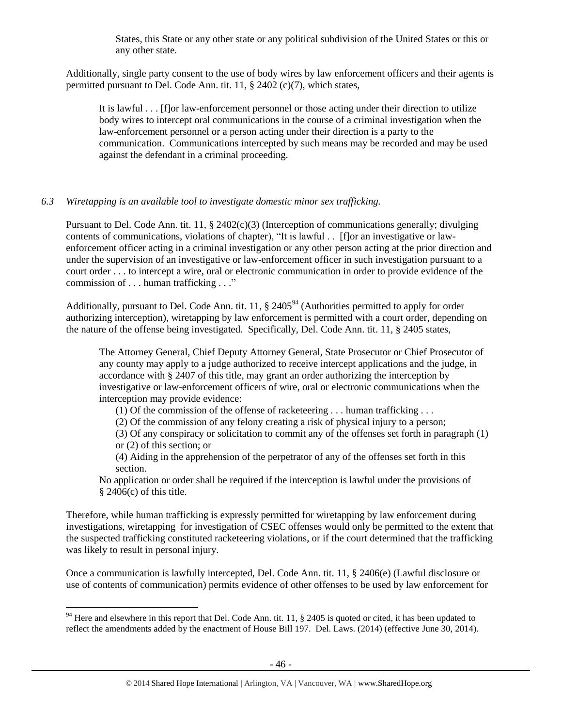States, this State or any other state or any political subdivision of the United States or this or any other state.

Additionally, single party consent to the use of body wires by law enforcement officers and their agents is permitted pursuant to Del. Code Ann. tit. 11, § 2402 (c)(7), which states,

It is lawful . . . [f]or law-enforcement personnel or those acting under their direction to utilize body wires to intercept oral communications in the course of a criminal investigation when the law-enforcement personnel or a person acting under their direction is a party to the communication. Communications intercepted by such means may be recorded and may be used against the defendant in a criminal proceeding.

# *6.3 Wiretapping is an available tool to investigate domestic minor sex trafficking.*

Pursuant to Del. Code Ann. tit. 11, § 2402(c)(3) (Interception of communications generally; divulging contents of communications, violations of chapter), "It is lawful . . [f]or an investigative or lawenforcement officer acting in a criminal investigation or any other person acting at the prior direction and under the supervision of an investigative or law-enforcement officer in such investigation pursuant to a court order . . . to intercept a wire, oral or electronic communication in order to provide evidence of the commission of . . . human trafficking . . ."

Additionally, pursuant to Del. Code Ann. tit. 11,  $\S$  2405<sup>94</sup> (Authorities permitted to apply for order authorizing interception), wiretapping by law enforcement is permitted with a court order, depending on the nature of the offense being investigated. Specifically, Del. Code Ann. tit. 11, § 2405 states,

The Attorney General, Chief Deputy Attorney General, State Prosecutor or Chief Prosecutor of any county may apply to a judge authorized to receive intercept applications and the judge, in accordance with § 2407 of this title, may grant an order authorizing the interception by investigative or law-enforcement officers of wire, oral or electronic communications when the interception may provide evidence:

(1) Of the commission of the offense of racketeering . . . human trafficking . . .

(2) Of the commission of any felony creating a risk of physical injury to a person;

(3) Of any conspiracy or solicitation to commit any of the offenses set forth in paragraph (1) or (2) of this section; or

(4) Aiding in the apprehension of the perpetrator of any of the offenses set forth in this section.

No application or order shall be required if the interception is lawful under the provisions of  $§$  2406(c) of this title.

Therefore, while human trafficking is expressly permitted for wiretapping by law enforcement during investigations, wiretapping for investigation of CSEC offenses would only be permitted to the extent that the suspected trafficking constituted racketeering violations, or if the court determined that the trafficking was likely to result in personal injury.

Once a communication is lawfully intercepted, Del. Code Ann. tit. 11, § 2406(e) (Lawful disclosure or use of contents of communication) permits evidence of other offenses to be used by law enforcement for

 $\overline{a}$  $94$  Here and elsewhere in this report that Del. Code Ann. tit. 11, § 2405 is quoted or cited, it has been updated to reflect the amendments added by the enactment of House Bill 197. Del. Laws. (2014) (effective June 30, 2014).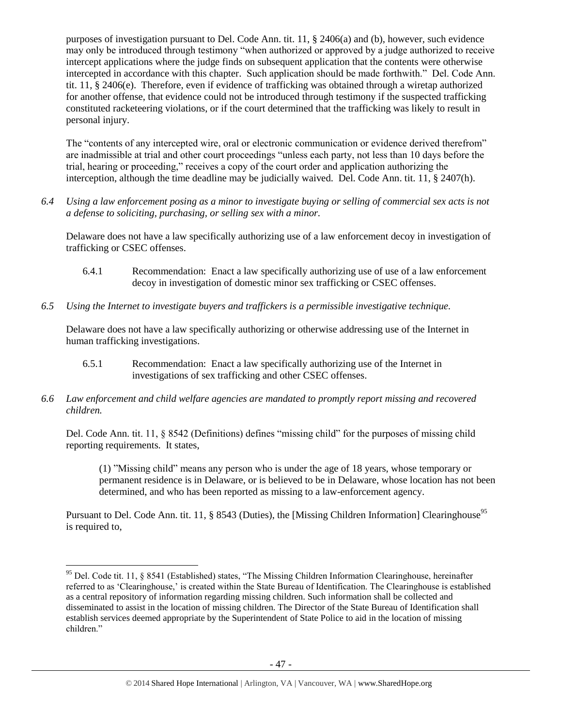purposes of investigation pursuant to Del. Code Ann. tit. 11, § 2406(a) and (b), however, such evidence may only be introduced through testimony "when authorized or approved by a judge authorized to receive intercept applications where the judge finds on subsequent application that the contents were otherwise intercepted in accordance with this chapter. Such application should be made forthwith." Del. Code Ann. tit. 11, § 2406(e). Therefore, even if evidence of trafficking was obtained through a wiretap authorized for another offense, that evidence could not be introduced through testimony if the suspected trafficking constituted racketeering violations, or if the court determined that the trafficking was likely to result in personal injury.

The "contents of any intercepted wire, oral or electronic communication or evidence derived therefrom" are inadmissible at trial and other court proceedings "unless each party, not less than 10 days before the trial, hearing or proceeding," receives a copy of the court order and application authorizing the interception, although the time deadline may be judicially waived. Del. Code Ann. tit. 11, § 2407(h).

*6.4 Using a law enforcement posing as a minor to investigate buying or selling of commercial sex acts is not a defense to soliciting, purchasing, or selling sex with a minor.*

Delaware does not have a law specifically authorizing use of a law enforcement decoy in investigation of trafficking or CSEC offenses.

- 6.4.1 Recommendation: Enact a law specifically authorizing use of use of a law enforcement decoy in investigation of domestic minor sex trafficking or CSEC offenses.
- *6.5 Using the Internet to investigate buyers and traffickers is a permissible investigative technique.*

Delaware does not have a law specifically authorizing or otherwise addressing use of the Internet in human trafficking investigations.

- 6.5.1 Recommendation: Enact a law specifically authorizing use of the Internet in investigations of sex trafficking and other CSEC offenses.
- *6.6 Law enforcement and child welfare agencies are mandated to promptly report missing and recovered children.*

Del. Code Ann. tit. 11, § 8542 (Definitions) defines "missing child" for the purposes of missing child reporting requirements. It states,

(1) "Missing child" means any person who is under the age of 18 years, whose temporary or permanent residence is in Delaware, or is believed to be in Delaware, whose location has not been determined, and who has been reported as missing to a law-enforcement agency.

Pursuant to Del. Code Ann. tit. 11, § 8543 (Duties), the [Missing Children Information] Clearinghouse<sup>95</sup> is required to,

 $\overline{\phantom{a}}$ 

<sup>&</sup>lt;sup>95</sup> Del. Code tit. 11, § 8541 (Established) states, "The Missing Children Information Clearinghouse, hereinafter referred to as 'Clearinghouse,' is created within the State Bureau of Identification. The Clearinghouse is established as a central repository of information regarding missing children. Such information shall be collected and disseminated to assist in the location of missing children. The Director of the State Bureau of Identification shall establish services deemed appropriate by the Superintendent of State Police to aid in the location of missing children."